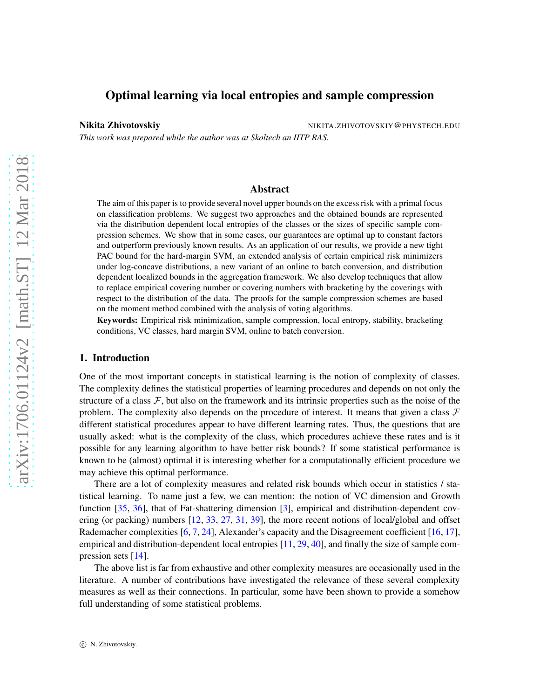# Optimal learning via local entropies and sample compression

Nikita Zhivotovskiy NIKITA.ZHIVOTOVSKIY@PHYSTECH.EDU

*This work was prepared while the author was at Skoltech an IITP RAS.*

## Abstract

The aim of this paper is to provide several novel upper bounds on the excess risk with a primal focus on classification problems. We suggest two approaches and the obtained bounds are represented via the distribution dependent local entropies of the classes or the sizes of specific sample compression schemes. We show that in some cases, our guarantees are optimal up to constant factors and outperform previously known results. As an application of our results, we provide a new tight PAC bound for the hard-margin SVM, an extended analysis of certain empirical risk minimizers under log-concave distributions, a new variant of an online to batch conversion, and distribution dependent localized bounds in the aggregation framework. We also develop techniques that allow to replace empirical covering number or covering numbers with bracketing by the coverings with respect to the distribution of the data. The proofs for the sample compression schemes are based on the moment method combined with the analysis of voting algorithms.

Keywords: Empirical risk minimization, sample compression, local entropy, stability, bracketing conditions, VC classes, hard margin SVM, online to batch conversion.

## 1. Introduction

One of the most important concepts in statistical learning is the notion of complexity of classes. The complexity defines the statistical properties of learning procedures and depends on not only the structure of a class  $\mathcal{F}$ , but also on the framework and its intrinsic properties such as the noise of the problem. The complexity also depends on the procedure of interest. It means that given a class  $\mathcal F$ different statistical procedures appear to have different learning rates. Thus, the questions that are usually asked: what is the complexity of the class, which procedures achieve these rates and is it possible for any learning algorithm to have better risk bounds? If some statistical performance is known to be (almost) optimal it is interesting whether for a computationally efficient procedure we may achieve this optimal performance.

There are a lot of complexity measures and related risk bounds which occur in statistics / statistical learning. To name just a few, we can mention: the notion of VC dimension and Growth function [\[35](#page-23-0), [36\]](#page-23-1), that of Fat-shattering dimension [\[3](#page-22-0)], empirical and distribution-dependent covering (or packing) numbers [\[12](#page-22-1), [33,](#page-23-2) [27](#page-23-3), [31](#page-23-4), [39](#page-24-0)], the more recent notions of local/global and offset Rademacher complexities  $[6, 7, 24]$  $[6, 7, 24]$  $[6, 7, 24]$  $[6, 7, 24]$  $[6, 7, 24]$ , Alexander's capacity and the Disagreement coefficient  $[16, 17]$  $[16, 17]$ , empirical and distribution-dependent local entropies  $[11, 29, 40]$  $[11, 29, 40]$  $[11, 29, 40]$  $[11, 29, 40]$ , and finally the size of sample com-pression sets [\[14\]](#page-22-7).

The above list is far from exhaustive and other complexity measures are occasionally used in the literature. A number of contributions have investigated the relevance of these several complexity measures as well as their connections. In particular, some have been shown to provide a somehow full understanding of some statistical problems.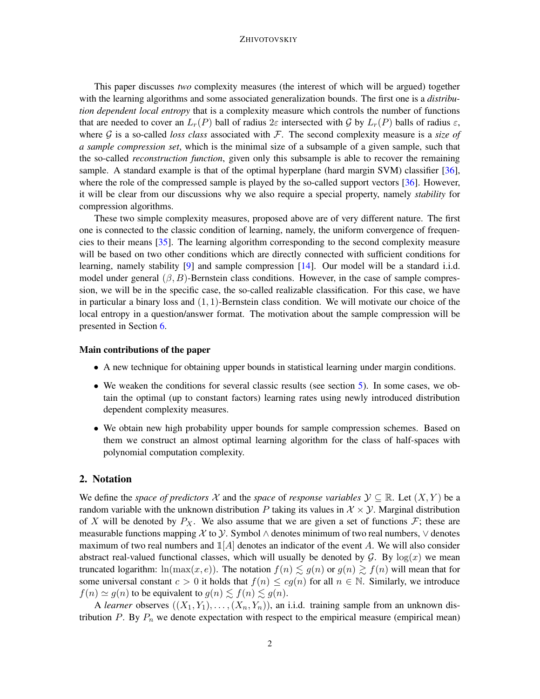This paper discusses *two* complexity measures (the interest of which will be argued) together with the learning algorithms and some associated generalization bounds. The first one is a *distribution dependent local entropy* that is a complexity measure which controls the number of functions that are needed to cover an  $L_r(P)$  ball of radius 2ε intersected with G by  $L_r(P)$  balls of radius  $\varepsilon$ , where  $G$  is a so-called *loss class* associated with  $F$ . The second complexity measure is a *size of a sample compression set*, which is the minimal size of a subsample of a given sample, such that the so-called *reconstruction function*, given only this subsample is able to recover the remaining sample. A standard example is that of the optimal hyperplane (hard margin SVM) classifier [\[36\]](#page-23-1), where the role of the compressed sample is played by the so-called support vectors [\[36](#page-23-1)]. However, it will be clear from our discussions why we also require a special property, namely *stability* for compression algorithms.

These two simple complexity measures, proposed above are of very different nature. The first one is connected to the classic condition of learning, namely, the uniform convergence of frequencies to their means [\[35](#page-23-0)]. The learning algorithm corresponding to the second complexity measure will be based on two other conditions which are directly connected with sufficient conditions for learning, namely stability [\[9\]](#page-22-8) and sample compression [\[14](#page-22-7)]. Our model will be a standard i.i.d. model under general  $(\beta, B)$ -Bernstein class conditions. However, in the case of sample compression, we will be in the specific case, the so-called realizable classification. For this case, we have in particular a binary loss and  $(1, 1)$ -Bernstein class condition. We will motivate our choice of the local entropy in a question/answer format. The motivation about the sample compression will be presented in Section [6.](#page-16-0)

## Main contributions of the paper

- A new technique for obtaining upper bounds in statistical learning under margin conditions.
- We weaken the conditions for several classic results (see section [5\)](#page-11-0). In some cases, we obtain the optimal (up to constant factors) learning rates using newly introduced distribution dependent complexity measures.
- We obtain new high probability upper bounds for sample compression schemes. Based on them we construct an almost optimal learning algorithm for the class of half-spaces with polynomial computation complexity.

## 2. Notation

We define the *space of predictors* X and the *space* of *response variables*  $\mathcal{Y} \subseteq \mathbb{R}$ . Let  $(X, Y)$  be a random variable with the unknown distribution P taking its values in  $\mathcal{X} \times \mathcal{Y}$ . Marginal distribution of X will be denoted by  $P_X$ . We also assume that we are given a set of functions F; these are measurable functions mapping X to  $\mathcal Y$ . Symbol  $\wedge$  denotes minimum of two real numbers,  $\vee$  denotes maximum of two real numbers and  $\mathbb{1}[A]$  denotes an indicator of the event A. We will also consider abstract real-valued functional classes, which will usually be denoted by  $G$ . By  $log(x)$  we mean truncated logarithm:  $\ln(\max(x, e))$ . The notation  $f(n) \leq g(n)$  or  $g(n) \geq f(n)$  will mean that for some universal constant  $c > 0$  it holds that  $f(n) \leq cg(n)$  for all  $n \in \mathbb{N}$ . Similarly, we introduce  $f(n) \simeq g(n)$  to be equivalent to  $g(n) \lesssim f(n) \lesssim g(n)$ .

A *learner* observes  $((X_1, Y_1), \ldots, (X_n, Y_n))$ , an i.i.d. training sample from an unknown distribution  $P$ . By  $P_n$  we denote expectation with respect to the empirical measure (empirical mean)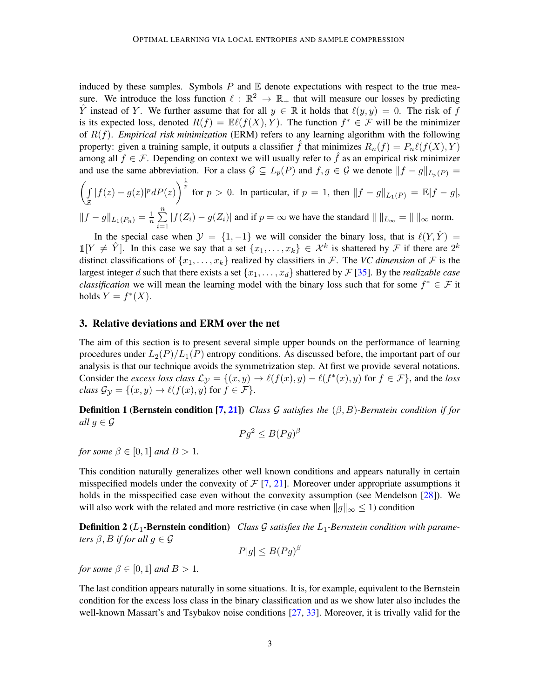induced by these samples. Symbols  $P$  and  $E$  denote expectations with respect to the true measure. We introduce the loss function  $\ell : \mathbb{R}^2 \to \mathbb{R}_+$  that will measure our losses by predicting  $\hat{Y}$  instead of Y. We further assume that for all  $y \in \mathbb{R}$  it holds that  $\ell(y, y) = 0$ . The risk of f is its expected loss, denoted  $R(f) = \mathbb{E}\ell(f(X), Y)$ . The function  $f^* \in \mathcal{F}$  will be the minimizer of R(f). *Empirical risk minimization* (ERM) refers to any learning algorithm with the following property: given a training sample, it outputs a classifier f that minimizes  $R_n(f) = P_n \ell(f(X), Y)$ among all  $f \in \mathcal{F}$ . Depending on context we will usually refer to  $\hat{f}$  as an empirical risk minimizer and use the same abbreviation. For a class  $G \subseteq L_p(P)$  and  $f, g \in G$  we denote  $||f - g||_{L_p(P)} =$ 

$$
\left(\int_{\mathcal{Z}} |f(z) - g(z)|^p dP(z)\right)^{\frac{1}{p}} \text{ for } p > 0. \text{ In particular, if } p = 1 \text{, then } ||f - g||_{L_1(P)} = \mathbb{E}|f - g|,
$$
  

$$
||f - g||_{L_1(P_n)} = \frac{1}{n} \sum_{i=1}^n |f(Z_i) - g(Z_i)| \text{ and if } p = \infty \text{ we have the standard } || ||_{L_\infty} = || ||_{\infty} \text{ norm.}
$$

 $i=1$ In the special case when  $\mathcal{Y} = \{1, -1\}$  we will consider the binary loss, that is  $\ell(Y, \hat{Y}) =$  $\mathbb{1}[Y \neq \hat{Y}]$ . In this case we say that a set  $\{x_1, \ldots, x_k\} \in \mathcal{X}^k$  is shattered by  $\mathcal{F}$  if there are  $2^k$ distinct classifications of  $\{x_1, \ldots, x_k\}$  realized by classifiers in F. The *VC dimension* of F is the largest integer d such that there exists a set  $\{x_1, \ldots, x_d\}$  shattered by  $\mathcal{F}$  [\[35](#page-23-0)]. By the *realizable case classification* we will mean the learning model with the binary loss such that for some  $f^* \in \mathcal{F}$  it holds  $Y = f^*(X)$ .

#### 3. Relative deviations and ERM over the net

The aim of this section is to present several simple upper bounds on the performance of learning procedures under  $L_2(P)/L_1(P)$  entropy conditions. As discussed before, the important part of our analysis is that our technique avoids the symmetrization step. At first we provide several notations. Consider the *excess loss class*  $\mathcal{L}y = \{(x, y) \to \ell(f(x), y) - \ell(f^*(x), y) \text{ for } f \in \mathcal{F}\}\)$ , and the *loss class*  $\mathcal{G}_{\mathcal{Y}} = \{(x, y) \to \ell(f(x), y) \text{ for } f \in \mathcal{F}\}.$ 

Definition 1 (Bernstein condition [\[7](#page-22-3), [21\]](#page-23-7)) *Class* G *satisfies the* (β, B)*-Bernstein condition if for all*  $g \in \mathcal{G}$ 

$$
Pg^2 \le B(Pg)^{\beta}
$$

*for some*  $\beta \in [0, 1]$  *and*  $B > 1$ *.* 

This condition naturally generalizes other well known conditions and appears naturally in certain misspecified models under the convexity of  $\mathcal{F}$  [\[7](#page-22-3), [21\]](#page-23-7). Moreover under appropriate assumptions it holds in the misspecified case even without the convexity assumption (see Mendelson [\[28\]](#page-23-8)). We will also work with the related and more restrictive (in case when  $||g||_{\infty} \leq 1$ ) condition

**Definition 2** ( $L_1$ -Bernstein condition) Class G satisfies the  $L_1$ -Bernstein condition with parame*ters*  $\beta$ , *B if for all*  $g \in \mathcal{G}$ 

<span id="page-2-0"></span>
$$
P|g| \le B(Pg)^{\beta}
$$

*for some*  $\beta \in [0, 1]$  *and*  $B > 1$ *.* 

The last condition appears naturally in some situations. It is, for example, equivalent to the Bernstein condition for the excess loss class in the binary classification and as we show later also includes the well-known Massart's and Tsybakov noise conditions [\[27](#page-23-3), [33](#page-23-2)]. Moreover, it is trivally valid for the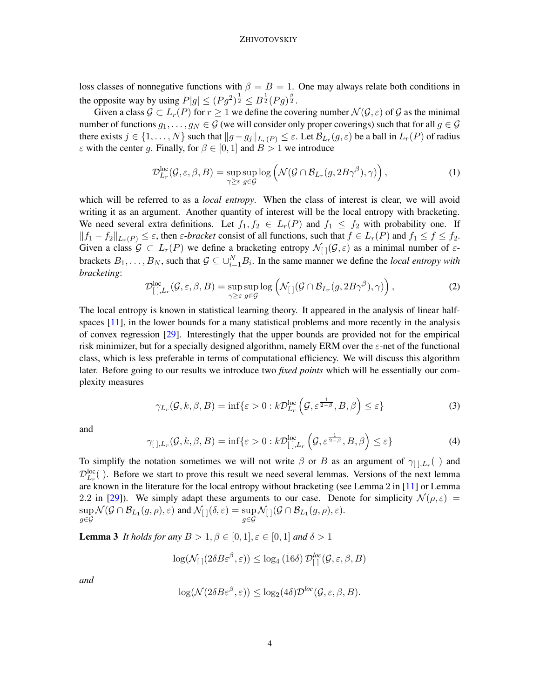loss classes of nonnegative functions with  $\beta = B = 1$ . One may always relate both conditions in the opposite way by using  $P|g| \leq (Pg^2)^{\frac{1}{2}} \leq B^{\frac{1}{2}}(Pg)^{\frac{\beta}{2}}$ .

Given a class  $\mathcal{G} \subset L_r(P)$  for  $r \geq 1$  we define the covering number  $\mathcal{N}(\mathcal{G}, \varepsilon)$  of  $\mathcal{G}$  as the minimal number of functions  $g_1, \ldots, g_N \in \mathcal{G}$  (we will consider only proper coverings) such that for all  $g \in \mathcal{G}$ there exists  $j \in \{1, ..., N\}$  such that  $||g - g_j||_{L_r(P)} \le \varepsilon$ . Let  $\mathcal{B}_{L_r}(g, \varepsilon)$  be a ball in  $L_r(P)$  of radius  $\varepsilon$  with the center g. Finally, for  $\beta \in [0, 1]$  and  $B > 1$  we introduce

$$
\mathcal{D}_{L_r}^{\text{loc}}(\mathcal{G}, \varepsilon, \beta, B) = \sup_{\gamma \ge \varepsilon} \sup_{g \in \mathcal{G}} \log \left( \mathcal{N}(\mathcal{G} \cap \mathcal{B}_{L_r}(g, 2B\gamma^{\beta}), \gamma) \right), \tag{1}
$$

which will be referred to as a *local entropy*. When the class of interest is clear, we will avoid writing it as an argument. Another quantity of interest will be the local entropy with bracketing. We need several extra definitions. Let  $f_1, f_2 \in L_r(P)$  and  $f_1 \leq f_2$  with probability one. If  $||f_1 - f_2||_{L_r(P)} \leq \varepsilon$ , then  $\varepsilon$ -*bracket* consist of all functions, such that  $f \in L_r(P)$  and  $f_1 \leq f \leq f_2$ . Given a class  $G \subset L_r(P)$  we define a bracketing entropy  $\mathcal{N}_{[1]}(G,\varepsilon)$  as a minimal number of  $\varepsilon$ brackets  $B_1, \ldots, B_N$ , such that  $\mathcal{G} \subseteq \cup_{i=1}^N B_i$ . In the same manner we define the *local entropy with bracketing*:

$$
\mathcal{D}^{\text{loc}}_{[~],L_r}(\mathcal{G},\varepsilon,\beta,B) = \sup_{\gamma \geq \varepsilon} \sup_{g \in \mathcal{G}} \log \left( \mathcal{N}_{[~]}(\mathcal{G} \cap \mathcal{B}_{L_r}(g, 2B\gamma^{\beta}), \gamma) \right),\tag{2}
$$

The local entropy is known in statistical learning theory. It appeared in the analysis of linear half-spaces [\[11](#page-22-6)], in the lower bounds for a many statistical problems and more recently in the analysis of convex regression [\[29\]](#page-23-6). Interestingly that the upper bounds are provided not for the empirical risk minimizer, but for a specially designed algorithm, namely ERM over the  $\varepsilon$ -net of the functional class, which is less preferable in terms of computational efficiency. We will discuss this algorithm later. Before going to our results we introduce two *fixed points* which will be essentially our complexity measures

$$
\gamma_{L_r}(\mathcal{G}, k, \beta, B) = \inf \{ \varepsilon > 0 : k \mathcal{D}_{L_r}^{\text{loc}} \left( \mathcal{G}, \varepsilon^{\frac{1}{2-\beta}}, B, \beta \right) \le \varepsilon \}
$$
(3)

and

$$
\gamma_{[ \,],L_r}(\mathcal{G},k,\beta,B) = \inf \{ \varepsilon > 0 : k \mathcal{D}^{\text{loc}}_{[ \,],L_r} \left( \mathcal{G}, \varepsilon^{\frac{1}{2-\beta}},B,\beta \right) \leq \varepsilon \}
$$
 (4)

To simplify the notation sometimes we will not write  $\beta$  or B as an argument of  $\gamma_{[ \,],L_r}( \ )$  and  $\mathcal{D}_{L_r}^{\text{loc}}($  ). Before we start to prove this result we need several lemmas. Versions of the next lemma are known in the literature for the local entropy without bracketing (see Lemma 2 in [\[11\]](#page-22-6) or Lemma 2.2 in [\[29](#page-23-6)]). We simply adapt these arguments to our case. Denote for simplicity  $\mathcal{N}(\rho, \varepsilon)$  = sup  $\sup_{g\in\mathcal{G}}\mathcal{N}(\mathcal{G}\cap\mathcal{B}_{L_1}(g,\rho),\varepsilon)$  and  $\mathcal{N}_{[}](\delta,\varepsilon)=\sup_{g\in\mathcal{G}}\mathcal{N}_{[}](\mathcal{G}\cap\mathcal{B}_{L_1}(g,\rho),\varepsilon).$ 

**Lemma 3** *It holds for any*  $B > 1, \beta \in [0, 1], \varepsilon \in [0, 1]$  *and*  $\delta > 1$ 

<span id="page-3-0"></span>
$$
\log(\mathcal{N}_{\text{c}}(2\delta B\varepsilon^{\beta},\varepsilon)) \leq \log_4(16\delta) \mathcal{D}_{\text{c}}^{\text{loc}}(\mathcal{G},\varepsilon,\beta,B)
$$

*and*

$$
\log(\mathcal{N}(2\delta B\varepsilon^{\beta}, \varepsilon)) \le \log_2(4\delta)\mathcal{D}^{loc}(\mathcal{G}, \varepsilon, \beta, B).
$$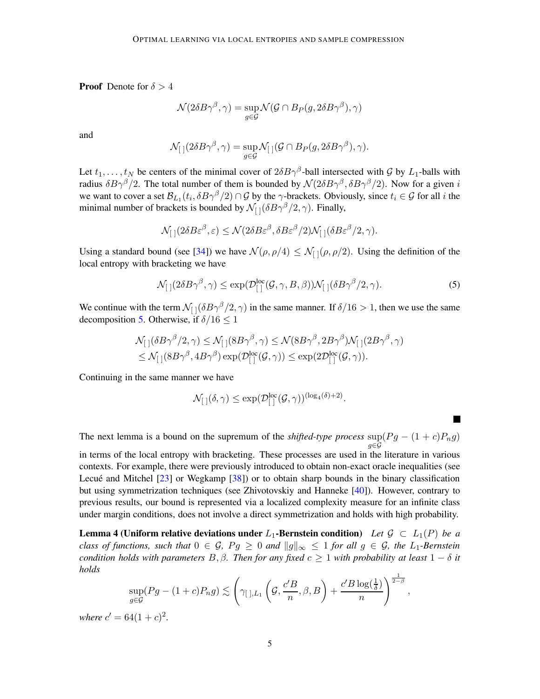**Proof** Denote for  $\delta > 4$ 

$$
\mathcal{N}(2\delta B\gamma^\beta, \gamma) = \sup_{g \in \mathcal{G}} \mathcal{N}(\mathcal{G} \cap B_P(g, 2\delta B\gamma^\beta), \gamma)
$$

and

$$
\mathcal{N}_{[~]}(2\delta B\gamma^{\beta},\gamma)=\sup_{g\in\mathcal{G}}\mathcal{N}_{[~]}(\mathcal{G}\cap B_P(g,2\delta B\gamma^{\beta}),\gamma).
$$

Let  $t_1, \ldots, t_N$  be centers of the minimal cover of  $2\delta B\gamma^{\beta}$ -ball intersected with G by  $L_1$ -balls with radius  $\delta B\gamma^{\beta}/2$ . The total number of them is bounded by  $\mathcal{N}(2\delta B\gamma^{\beta}, \delta B\gamma^{\beta}/2)$ . Now for a given i we want to cover a set  $\mathcal{B}_{L_1}(t_i, \delta B\gamma^{\beta}/2) \cap \mathcal{G}$  by the  $\gamma$ -brackets. Obviously, since  $t_i \in \mathcal{G}$  for all i the minimal number of brackets is bounded by  $\mathcal{N}_{[ ]}(\delta B \gamma^{\beta}/2, \gamma)$ . Finally,

$$
\mathcal{N}_{[~]}(2\delta B\varepsilon^{\beta},\varepsilon)\leq\mathcal{N}(2\delta B\varepsilon^{\beta},\delta B\varepsilon^{\beta}/2)\mathcal{N}_{[~]}(\delta B\varepsilon^{\beta}/2,\gamma).
$$

Using a standard bound (see [\[34](#page-23-9)]) we have  $\mathcal{N}(\rho, \rho/4) \leq \mathcal{N}_{1}(\rho, \rho/2)$ . Using the definition of the local entropy with bracketing we have

<span id="page-4-0"></span>
$$
\mathcal{N}_{[]}(2\delta B\gamma^{\beta}, \gamma) \le \exp(\mathcal{D}_{[]}^{\text{loc}}(\mathcal{G}, \gamma, B, \beta)) \mathcal{N}_{[]}(\delta B\gamma^{\beta}/2, \gamma).
$$
\n(5)

We continue with the term  $\mathcal{N}_{[1]}(\delta B\gamma^{\beta}/2, \gamma)$  in the same manner. If  $\delta/16 > 1$ , then we use the same decomposition [5.](#page-4-0) Otherwise, if  $\delta/16 \leq 1$ 

$$
\mathcal{N}_{[ \ ]}(\delta B \gamma^{\beta}/2, \gamma) \leq \mathcal{N}_{[ \ ]} (8 B \gamma^{\beta}, \gamma) \leq \mathcal{N}(8 B \gamma^{\beta}, 2 B \gamma^{\beta}) \mathcal{N}_{[ \ ]} (2 B \gamma^{\beta}, \gamma) \\ \leq \mathcal{N}_{[ \ ]} (8 B \gamma^{\beta}, 4 B \gamma^{\beta}) \exp(\mathcal{D}_{[ \ ]}^{\rm loc}(\mathcal{G}, \gamma)) \leq \exp(2 \mathcal{D}_{[ \ ]}^{\rm loc}(\mathcal{G}, \gamma)).
$$

Continuing in the same manner we have

$$
\mathcal{N}_{[~]}(\delta,\gamma) \le \exp(\mathcal{D}^{\operatorname{loc}}_{[~]}(\mathcal{G},\gamma))^{(\log_4(\delta)+2)}.
$$

The next lemma is a bound on the supremum of the *shifted-type process*  $\sup(Pg - (1+c)P_n g)$ g∈G

in terms of the local entropy with bracketing. These processes are used in the literature in various contexts. For example, there were previously introduced to obtain non-exact oracle inequalities (see Lecué and Mitchel [\[23](#page-23-10)] or Wegkamp [\[38](#page-24-2)]) or to obtain sharp bounds in the binary classification but using symmetrization techniques (see Zhivotovskiy and Hanneke [\[40](#page-24-1)]). However, contrary to previous results, our bound is represented via a localized complexity measure for an infinite class under margin conditions, does not involve a direct symmetrization and holds with high probability.

**Lemma 4 (Uniform relative deviations under L<sub>1</sub>-Bernstein condition)** Let  $\mathcal{G} \subset L_1(P)$  be a *class of functions, such that*  $0 \in \mathcal{G}$ ,  $Pg \geq 0$  *and*  $||g||_{\infty} \leq 1$  *for all*  $g \in \mathcal{G}$ *, the* L<sub>1</sub>-Bernstein *condition holds with parameters*  $B, \beta$ *. Then for any fixed*  $c \geq 1$  *with probability at least*  $1 - \delta$  *it holds*

$$
\sup_{g \in \mathcal{G}} (Pg - (1+c)P_n g) \lesssim \left(\gamma_{\text{max}}\left(\mathcal{G}, \frac{c'B}{n}, \beta, B\right) + \frac{c'B \log(\frac{1}{\delta})}{n}\right)^{\frac{1}{2-\beta}}
$$

<span id="page-4-1"></span>,

*where*  $c' = 64(1+c)^2$ *.*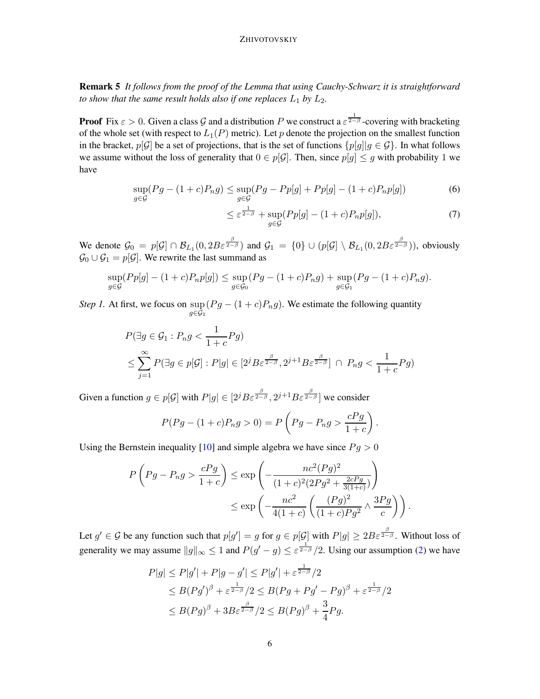Remark 5 *It follows from the proof of the Lemma that using Cauchy-Schwarz it is straightforward to show that the same result holds also if one replaces*  $L_1$  *by*  $L_2$ *.* 

**Proof** Fix  $\varepsilon > 0$ . Given a class G and a distribution P we construct a  $\varepsilon^{\frac{1}{2-\beta}}$ -covering with bracketing of the whole set (with respect to  $L_1(P)$  metric). Let p denote the projection on the smallest function in the bracket,  $p[\mathcal{G}]$  be a set of projections, that is the set of functions  $\{p[g] | g \in \mathcal{G}\}\$ . In what follows we assume without the loss of generality that  $0 \in p[\mathcal{G}]$ . Then, since  $p[g] \leq g$  with probability 1 we have

$$
\sup_{g \in \mathcal{G}} (Pg - (1 + c)P_n g) \le \sup_{g \in \mathcal{G}} (Pg - Pp[g] + Pp[g] - (1 + c)P_n p[g])
$$
\n(6)

$$
\leq \varepsilon^{\frac{1}{2-\beta}} + \sup_{g \in \mathcal{G}} (Pp[g] - (1+c)P_n p[g]),\tag{7}
$$

.

We denote  $\mathcal{G}_0 = p[\mathcal{G}] \cap \mathcal{B}_{L_1}(0, 2B\varepsilon^{\frac{\beta}{2-\beta}})$  and  $\mathcal{G}_1 = \{0\} \cup (p[\mathcal{G}] \setminus \mathcal{B}_{L_1}(0, 2B\varepsilon^{\frac{\beta}{2-\beta}}))$ , obviously  $\mathcal{G}_0 \cup \mathcal{G}_1 = p[\mathcal{G}]$ . We rewrite the last summand as

$$
\sup_{g \in \mathcal{G}} (Pp[g] - (1+c)P_np[g]) \leq \sup_{g \in \mathcal{G}_0} (Pg - (1+c)P_ng) + \sup_{g \in \mathcal{G}_1} (Pg - (1+c)P_ng).
$$

*Step 1.* At first, we focus on sup  $_{g\in\mathcal{G}_1}$  $(Pg - (1 + c)P_n g)$ . We estimate the following quantity

$$
P(\exists g \in \mathcal{G}_1 : P_n g < \frac{1}{1+c} P g)
$$
\n
$$
\leq \sum_{j=1}^{\infty} P(\exists g \in p[\mathcal{G}] : P|g| \in [2^j B \varepsilon^{\frac{\beta}{2-\beta}}, 2^{j+1} B \varepsilon^{\frac{\beta}{2-\beta}}] \cap P_n g < \frac{1}{1+c} P g)
$$

Given a function  $g \in p[\mathcal{G}]$  with  $P|g| \in [2^j B \varepsilon^{\frac{\beta}{2-\beta}}, 2^{j+1} B \varepsilon^{\frac{\beta}{2-\beta}}]$  we consider

$$
P(Pg - (1 + c)P_n g > 0) = P\left(Pg - P_n g > \frac{cPg}{1 + c}\right)
$$

Using the Bernstein inequality [\[10](#page-22-9)] and simple algebra we have since  $Pg > 0$ 

$$
P\left(Pg - P_n g > \frac{cPg}{1+c}\right) \le \exp\left(-\frac{nc^2(Pg)^2}{(1+c)^2(2Pg^2 + \frac{2cPg}{3(1+c)})}\right) \le \exp\left(-\frac{nc^2}{4(1+c)}\left(\frac{(Pg)^2}{(1+c)Pg^2} \wedge \frac{3Pg}{c}\right)\right).
$$

Let  $g' \in \mathcal{G}$  be any function such that  $p[g'] = g$  for  $g \in p[\mathcal{G}]$  with  $P|g| \geq 2B\varepsilon^{\frac{\beta}{2-\beta}}$ . Without loss of generality we may assume  $||g||_{\infty} \leq 1$  and  $P(g'-g) \leq \varepsilon^{\frac{1}{2-\beta}}/2$ . Using our assumption [\(2\)](#page-2-0) we have

$$
P|g| \le P|g'| + P|g - g'| \le P|g'| + \varepsilon^{\frac{1}{2-\beta}}/2
$$
  
\n
$$
\le B(Pg')^{\beta} + \varepsilon^{\frac{1}{2-\beta}}/2 \le B(Pg + Pg' - Pg)^{\beta} + \varepsilon^{\frac{1}{2-\beta}}/2
$$
  
\n
$$
\le B(Pg)^{\beta} + 3B\varepsilon^{\frac{\beta}{2-\beta}}/2 \le B(Pg)^{\beta} + \frac{3}{4}Pg.
$$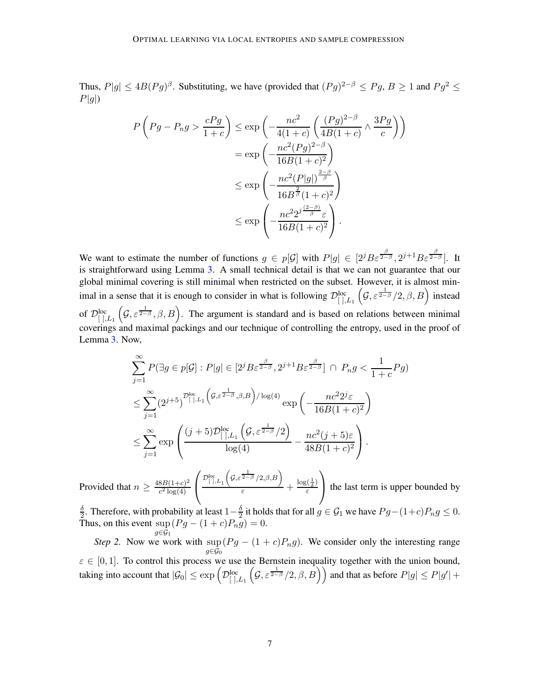Thus,  $P|g| \le 4B(Pg)^{\beta}$ . Substituting, we have (provided that  $(Pg)^{2-\beta} \le Py, B \ge 1$  and  $Pg^2 \le$  $P|g|$ 

$$
P\left(Pg - P_n g > \frac{cPg}{1+c}\right) \le \exp\left(-\frac{nc^2}{4(1+c)} \left(\frac{(Pg)^{2-\beta}}{4B(1+c)} \wedge \frac{3Pg}{c}\right)\right)
$$
  

$$
= \exp\left(-\frac{nc^2(Pg)^{2-\beta}}{16B(1+c)^2}\right)
$$
  

$$
\le \exp\left(-\frac{nc^2(P|g|)^{\frac{2-\beta}{\beta}}}{16B^{\frac{2}{\beta}}(1+c)^2}\right)
$$
  

$$
\le \exp\left(-\frac{nc^22^{\frac{(2-\beta)}{\beta}}\varepsilon}{16B(1+c)^2}\right).
$$

We want to estimate the number of functions  $g \in p[\mathcal{G}]$  with  $P|g| \in [2^{j}B\varepsilon^{\frac{\beta}{2-\beta}}, 2^{j+1}B\varepsilon^{\frac{\beta}{2-\beta}}]$ . It is straightforward using Lemma [3.](#page-3-0) A small technical detail is that we can not guarantee that our global minimal covering is still minimal when restricted on the subset. However, it is almost minimal in a sense that it is enough to consider in what is following  $\mathcal{D}^{loc}_{[0],L_1}(\mathcal{G}, \varepsilon^{\frac{1}{2-\beta}}/2, \beta, B)$  instead of  $\mathcal{D}^{\text{loc}}_{[0,L_1]}(\mathcal{G}, \varepsilon^{\frac{1}{2-\beta}}, \beta, B)$ . The argument is standard and is based on relations between minimal coverings and maximal packings and our technique of controlling the entropy, used in the proof of Lemma [3.](#page-3-0) Now,

$$
\sum_{j=1}^{\infty} P(\exists g \in p[\mathcal{G}] : P|g| \in [2^j B \varepsilon^{\frac{\beta}{2-\beta}}, 2^{j+1} B \varepsilon^{\frac{\beta}{2-\beta}}] \cap P_n g < \frac{1}{1+c} P g)
$$
\n
$$
\leq \sum_{j=1}^{\infty} (2^{j+5})^{\mathcal{D}^{\text{loc}}_{[\cdot],L_1}} \left( \mathcal{G}, \varepsilon^{\frac{1}{2-\beta}}, \beta, B \right) / \log(4) \exp\left( -\frac{nc^2 2^j \varepsilon}{16B(1+c)^2} \right)
$$
\n
$$
\leq \sum_{j=1}^{\infty} \exp\left( \frac{(j+5)\mathcal{D}^{\text{loc}}_{[\cdot],L_1} \left( \mathcal{G}, \varepsilon^{\frac{1}{2-\beta}}/2 \right)}{\log(4)} - \frac{nc^2(j+5)\varepsilon}{48B(1+c)^2} \right).
$$

Provided that  $n \geq \frac{48B(1+c)^2}{c^2 \log(4)}$  $c^2 \log(4)$  $\sqrt{ }$  $\mathcal{L}$  $\mathcal{D}^{\rm loc}_{[~],L_1}$  $(g, \varepsilon^{\frac{1}{2-\beta}}/2, \beta, B)$  $\frac{\log(\frac{1}{\delta})}{\varepsilon}$  +  $\frac{\log(\frac{1}{\delta})}{\varepsilon}$ ε  $\setminus$ the last term is upper bounded by

 $\delta$  $\frac{\delta}{2}$ . Therefore, with probability at least  $1-\frac{\delta}{2}$  $\frac{\delta}{2}$  it holds that for all  $g \in \mathcal{G}_1$  we have  $Pg - (1+c)P_n g \leq 0$ . Thus, on this event  $\sup (Pg - (1+c)P_n g) = 0$ .  $g\in\tilde{G}_1$ 

*Step 2.* Now we work with sup  $g{\in}\mathcal{G}_0$  $(Pg - (1 + c)P_n g)$ . We consider only the interesting range  $\varepsilon \in [0, 1]$ . To control this process we use the Bernstein inequality together with the union bound, taking into account that  $|\mathcal{G}_0|\leq \exp\left(\mathcal{D}^{\rm loc}_{[\;],L_1}\left(\mathcal{G},\varepsilon^{\frac{1}{2-\beta}}/2,\beta,B\right)\right)$  and that as before  $P|g|\leq P|g'|+1$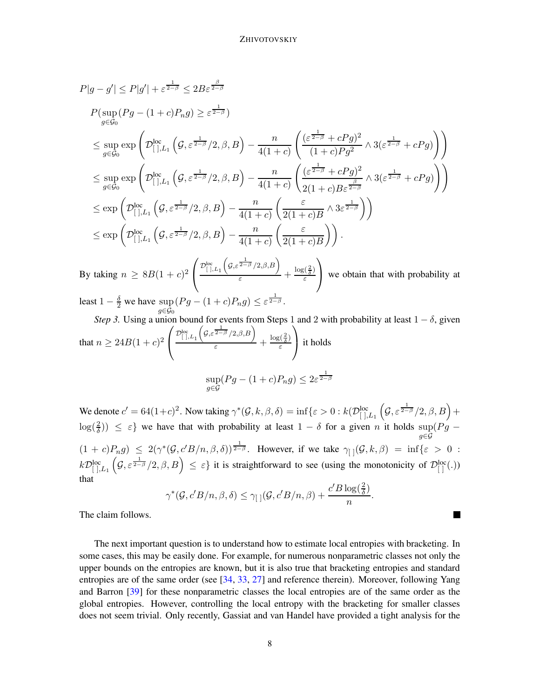$$
P|g - g'| \leq P|g'| + \varepsilon^{\frac{1}{2-\beta}} \leq 2B\varepsilon^{\frac{\beta}{2-\beta}}
$$
  
\n
$$
P(\sup_{g\in\mathcal{G}_0} (Pg - (1+c)P_n g) \geq \varepsilon^{\frac{1}{2-\beta}})
$$
  
\n
$$
\leq \sup_{g\in\mathcal{G}_0} \exp\left(\mathcal{D}_{[.],L_1}^{\log} \left(G, \varepsilon^{\frac{1}{2-\beta}}/2, \beta, B\right) - \frac{n}{4(1+c)} \left(\frac{(\varepsilon^{\frac{1}{2-\beta}} + cPg)^2}{(1+c)Pg^2} \wedge 3(\varepsilon^{\frac{1}{2-\beta}} + cPg)\right)\right)
$$
  
\n
$$
\leq \sup_{g\in\mathcal{G}_0} \exp\left(\mathcal{D}_{[.],L_1}^{\log} \left(G, \varepsilon^{\frac{1}{2-\beta}}/2, \beta, B\right) - \frac{n}{4(1+c)} \left(\frac{(\varepsilon^{\frac{1}{2-\beta}} + cPg)^2}{2(1+c)B\varepsilon^{\frac{\beta}{2-\beta}}} \wedge 3(\varepsilon^{\frac{1}{2-\beta}} + cPg)\right)\right)
$$
  
\n
$$
\leq \exp\left(\mathcal{D}_{[.],L_1}^{\log} \left(G, \varepsilon^{\frac{1}{2-\beta}}/2, \beta, B\right) - \frac{n}{4(1+c)} \left(\frac{\varepsilon}{2(1+c)B} \wedge 3\varepsilon^{\frac{1}{2-\beta}}\right)\right)
$$
  
\n
$$
\leq \exp\left(\mathcal{D}_{[.],L_1}^{\log} \left(G, \varepsilon^{\frac{1}{2-\beta}}/2, \beta, B\right) - \frac{n}{4(1+c)} \left(\frac{\varepsilon}{2(1+c)B}\right)\right).
$$
  
\nBy taking  $n \geq 8B(1+c)^2 \left(\frac{\mathcal{D}_{[.],L_1}^{\log} \left(G, \varepsilon^{\frac{1}{2-\beta}}/2, \beta, B\right)}{\varepsilon} + \frac{\log(\frac{2}{\delta})}{\varepsilon}\right)$  we obtain that with probability at

least  $1 - \frac{\delta}{2}$  we have sup  $g \in \mathcal{G}_0$  $(Pg - (1+c)P_n g) \leq \varepsilon^{\frac{1}{2-\beta}}.$ 

*Step 3.* Using a union bound for events from Steps 1 and 2 with probability at least  $1 - \delta$ , given that  $n \ge 24B(1+c)^2$  $\sqrt{ }$  $\mathcal{L}$  $\mathcal{D}^{\rm loc}_{[~],L_1}$  $(g, \varepsilon^{\frac{1}{2-\beta}}/2, \beta, B)$  $\frac{\log(\frac{2}{\delta})}{\varepsilon}$  +  $\frac{\log(\frac{2}{\delta})}{\varepsilon}$ ε  $\setminus$  it holds 1

$$
\sup_{g \in \mathcal{G}} (Pg - (1 + c)P_n g) \le 2\varepsilon^{\frac{1}{2-\beta}}
$$

We denote  $c' = 64(1+c)^2$ . Now taking  $\gamma^*(\mathcal{G}, k, \beta, \delta) = \inf \{ \varepsilon > 0 : k(\mathcal{D}_{[ \, ] , L_1 }^{loc} \left( \mathcal{G}, \varepsilon^{ \frac{1}{2-\beta}}/2, \beta, B \right) + \varepsilon \}$  $\log(\frac{2}{\delta})$ )  $\leq \varepsilon$  we have that with probability at least  $1 - \delta$  for a given n it holds sup g∈G  $(Pg (1+c)P_ng) \leq 2(\gamma^*(\mathcal{G}, c'B/n, \beta, \delta))^{\frac{1}{2-\beta}}$ . However, if we take  $\gamma_{[1]}(\mathcal{G}, k, \beta) = \inf\{\varepsilon > 0 :$  $k\mathcal{D}^{\text{loc}}_{[0],L_1}(\mathcal{G},\varepsilon^{\frac{1}{2-\beta}}/2,\beta,B) \leq \varepsilon$  it is straightforward to see (using the monotonicity of  $\mathcal{D}^{\text{loc}}_{[0]}(.)$ that

$$
\gamma^*(\mathcal{G}, c'B/n, \beta, \delta) \le \gamma_{[ ]}(\mathcal{G}, c'B/n, \beta) + \frac{c'B \log(\frac{2}{\delta})}{n}
$$

.

 $\blacksquare$ 

The claim follows.

The next important question is to understand how to estimate local entropies with bracketing. In some cases, this may be easily done. For example, for numerous nonparametric classes not only the upper bounds on the entropies are known, but it is also true that bracketing entropies and standard entropies are of the same order (see [\[34,](#page-23-9) [33](#page-23-2), [27](#page-23-3)] and reference therein). Moreover, following Yang and Barron [\[39](#page-24-0)] for these nonparametric classes the local entropies are of the same order as the global entropies. However, controlling the local entropy with the bracketing for smaller classes does not seem trivial. Only recently, Gassiat and van Handel have provided a tight analysis for the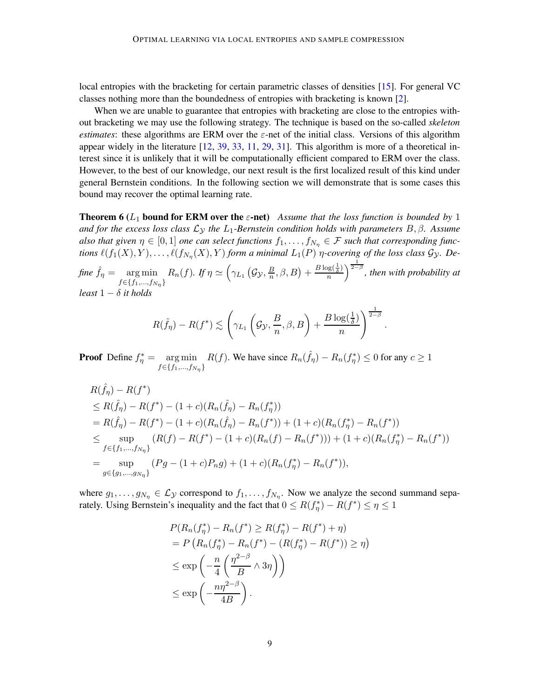local entropies with the bracketing for certain parametric classes of densities [\[15](#page-22-10)]. For general VC classes nothing more than the boundedness of entropies with bracketing is known [\[2](#page-22-11)].

When we are unable to guarantee that entropies with bracketing are close to the entropies without bracketing we may use the following strategy. The technique is based on the so-called *skeleton estimates*: these algorithms are ERM over the  $\varepsilon$ -net of the initial class. Versions of this algorithm appear widely in the literature [\[12](#page-22-1), [39](#page-24-0), [33](#page-23-2), [11](#page-22-6), [29,](#page-23-6) [31\]](#page-23-4). This algorithm is more of a theoretical interest since it is unlikely that it will be computationally efficient compared to ERM over the class. However, to the best of our knowledge, our next result is the first localized result of this kind under general Bernstein conditions. In the following section we will demonstrate that is some cases this bound may recover the optimal learning rate.

<span id="page-8-0"></span>**Theorem 6** ( $L_1$  **bound for ERM over the**  $\varepsilon$ **-net**) *Assume that the loss function is bounded by* 1 *and for the excess loss class* L<sup>Y</sup> *the* L1*-Bernstein condition holds with parameters* B, β*. Assume* also that given  $\eta \in [0,1]$  *one can select functions*  $f_1, \ldots, f_{N_\eta} \in \mathcal{F}$  *such that corresponding functions*  $\ell(f_1(X), Y), \ldots, \ell(f_{N_{\eta}}(X), Y)$  *form a minimal*  $L_1(P)$  *η-covering of the loss class*  $\mathcal{G}_{\mathcal{Y}}$ *. De-*

*fine*  $\hat{f}_\eta = \text{arg min}$  $f \in \{f_1, ..., f_{N_{\eta}}\}$  $R_n(f)$ *.* If  $\eta \simeq \left(\gamma_{L_1}\left(\mathcal{G}_{\mathcal{Y}}, \frac{B}{n}\right)\right)$  $\frac{B}{n}, \beta, B) + \frac{B \log(\frac{1}{\delta})}{n}$  $\frac{\log(\frac{1}{\delta})}{n}\Big)^{\frac{1}{2-\beta}}$ , then with probability at *least* 1 − δ *it holds*

$$
R(\hat{f}_{\eta}) - R(f^*) \lesssim \left(\gamma_{L_1}\left(\mathcal{G}_{\mathcal{Y}}, \frac{B}{n}, \beta, B\right) + \frac{B\log(\frac{1}{\delta})}{n}\right)^{\frac{1}{2-\beta}}.
$$

**Proof** Define  $f_{\eta}^* = \arg \min$  $f \in \{f_1, ..., f_{N_{\eta}}\}$  $R(f)$ . We have since  $R_n(\hat{f}_\eta) - R_n(f^*_\eta) \leq 0$  for any  $c \geq 1$ 

$$
R(\hat{f}_{\eta}) - R(f^*)
$$
  
\n
$$
\leq R(\hat{f}_{\eta}) - R(f^*) - (1 + c)(R_n(\hat{f}_{\eta}) - R_n(f^*))
$$
  
\n
$$
= R(\hat{f}_{\eta}) - R(f^*) - (1 + c)(R_n(\hat{f}_{\eta}) - R_n(f^*)) + (1 + c)(R_n(f^*_{\eta}) - R_n(f^*))
$$
  
\n
$$
\leq \sup_{f \in \{f_1, \dots, f_{N_{\eta}}\}} (R(f) - R(f^*) - (1 + c)(R_n(f) - R_n(f^*))) + (1 + c)(R_n(f^*_{\eta}) - R_n(f^*))
$$
  
\n
$$
= \sup_{g \in \{g_1, \dots, g_{N_{\eta}}\}} (Pg - (1 + c)P_n g) + (1 + c)(R_n(f^*_{\eta}) - R_n(f^*)),
$$

where  $g_1, \ldots, g_{N_\eta} \in \mathcal{L}_{\mathcal{Y}}$  correspond to  $f_1, \ldots, f_{N_\eta}$ . Now we analyze the second summand separately. Using Bernstein's inequality and the fact that  $0 \le R(f_{\eta}^*) - R(f^*) \le \eta \le 1$ 

$$
P(R_n(f_\eta^*) - R_n(f^*) \ge R(f_\eta^*) - R(f^*) + \eta)
$$
  
=  $P(R_n(f_\eta^*) - R_n(f^*) - (R(f_\eta^*) - R(f^*)) \ge \eta)$   
 $\le \exp\left(-\frac{n}{4}\left(\frac{\eta^{2-\beta}}{B} \wedge 3\eta\right)\right)$   
 $\le \exp\left(-\frac{n\eta^{2-\beta}}{4B}\right).$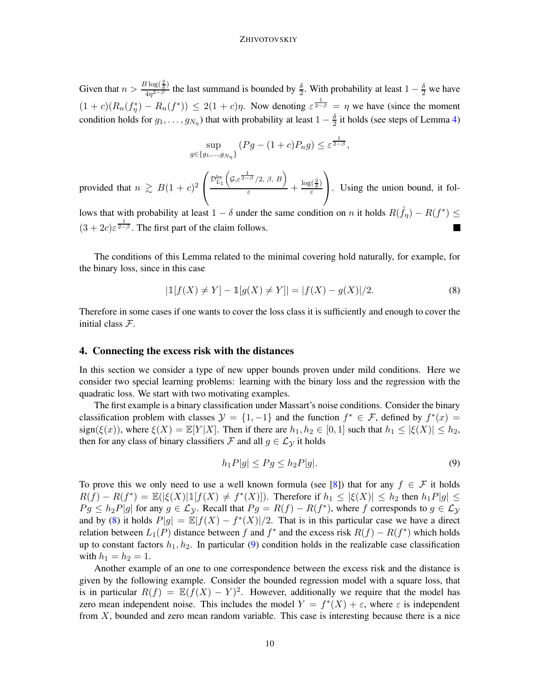Given that  $n > \frac{B \log(\frac{2}{\delta})}{4n^{2-\beta}}$  $\frac{\delta \log(\frac{1}{\delta})}{4\eta^{2-\beta}}$  the last summand is bounded by  $\frac{\delta}{2}$ . With probability at least  $1-\frac{\delta}{2}$  we have  $(1+c)(R_n(f_\eta^*)-R_n(f^*))\leq 2(1+c)\eta$ . Now denoting  $\varepsilon^{\frac{1}{2-\beta}}=\eta$  we have (since the moment condition holds for  $g_1, \ldots, g_{N_\eta}$ ) that with probability at least  $1 - \frac{\delta}{2}$  it holds (see steps of Lemma [4\)](#page-4-1)

$$
\sup_{g \in \{g_1, \dots, g_{N_\eta}\}} (Pg - (1+c)P_n g) \leq \varepsilon^{\frac{1}{2-\beta}},
$$

provided that  $n \ge B(1+c)^2$  $\sqrt{ }$  $\mathcal{L}$  ${\mathcal D}^{\rm loc}_{L_1}$  $(g, \varepsilon^{\frac{1}{2-\beta}}/2, \beta, B)$  $\frac{\log(\frac{2}{\delta})}{\varepsilon}$  +  $\frac{\log(\frac{2}{\delta})}{\varepsilon}$ ε  $\setminus$ . Using the union bound, it fol-

lows that with probability at least  $1 - \delta$  under the same condition on n it holds  $R(\hat{f}_{\eta}) - R(f^*) \leq$  $(3 + 2c)\varepsilon^{\frac{1}{2-\beta}}$ . The first part of the claim follows.  $\overline{\phantom{a}}$ 

The conditions of this Lemma related to the minimal covering hold naturally, for example, for the binary loss, since in this case

<span id="page-9-0"></span>
$$
|\mathbb{1}[f(X) \neq Y] - \mathbb{1}[g(X) \neq Y]| = |f(X) - g(X)|/2.
$$
 (8)

Therefore in some cases if one wants to cover the loss class it is sufficiently and enough to cover the initial class F.

#### 4. Connecting the excess risk with the distances

In this section we consider a type of new upper bounds proven under mild conditions. Here we consider two special learning problems: learning with the binary loss and the regression with the quadratic loss. We start with two motivating examples.

The first example is a binary classification under Massart's noise conditions. Consider the binary classification problem with classes  $\mathcal{Y} = \{1, -1\}$  and the function  $f^* \in \mathcal{F}$ , defined by  $f^*(x) =$ sign( $\xi(x)$ ), where  $\xi(X) = \mathbb{E}[Y|X]$ . Then if there are  $h_1, h_2 \in [0, 1]$  such that  $h_1 \leq |\xi(X)| \leq h_2$ , then for any class of binary classifiers F and all  $g \in \mathcal{L}_{\mathcal{Y}}$  it holds

<span id="page-9-1"></span>
$$
h_1 P|g| \le P g \le h_2 P|g|.\tag{9}
$$

To prove this we only need to use a well known formula (see [\[8](#page-22-12)]) that for any  $f \in \mathcal{F}$  it holds  $R(f) - R(f^*) = \mathbb{E}(|\xi(X)|1[f(X) \neq f^*(X)])$ . Therefore if  $h_1 \leq |\xi(X)| \leq h_2$  then  $h_1P|g| \leq$  $Pg \leq h_2P|g|$  for any  $g \in \mathcal{L}_y$ . Recall that  $Pg = R(f) - R(f^*)$ , where f corresponds to  $g \in \mathcal{L}_y$ and by [\(8\)](#page-9-0) it holds  $P|g| = \mathbb{E}|f(X) - f^{*}(X)|/2$ . That is in this particular case we have a direct relation between  $L_1(P)$  distance between f and  $f^*$  and the excess risk  $R(f) - R(f^*)$  which holds up to constant factors  $h_1, h_2$ . In particular [\(9\)](#page-9-1) condition holds in the realizable case classification with  $h_1 = h_2 = 1$ .

Another example of an one to one correspondence between the excess risk and the distance is given by the following example. Consider the bounded regression model with a square loss, that is in particular  $R(f) = \mathbb{E}(f(X) - Y)^2$ . However, additionally we require that the model has zero mean independent noise. This includes the model  $Y = f^*(X) + \varepsilon$ , where  $\varepsilon$  is independent from  $X$ , bounded and zero mean random variable. This case is interesting because there is a nice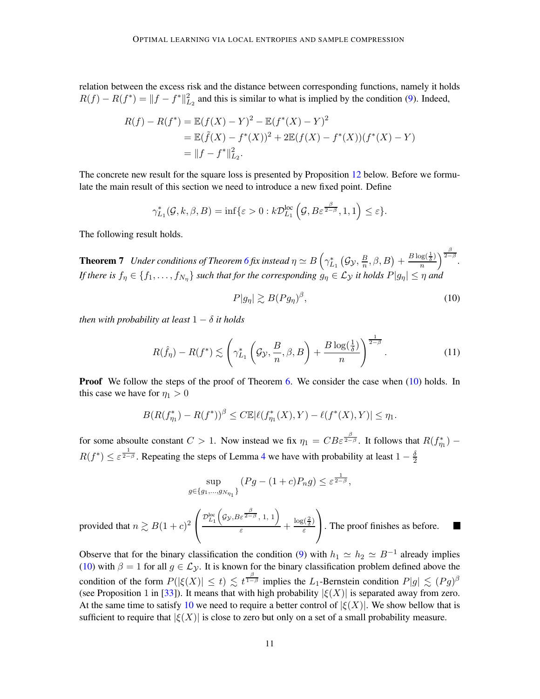relation between the excess risk and the distance between corresponding functions, namely it holds  $R(f) - R(f^*) = ||f - f^*||_{L_2}^2$  and this is similar to what is implied by the condition [\(9\)](#page-9-1). Indeed,

$$
R(f) - R(f^*) = \mathbb{E}(f(X) - Y)^2 - \mathbb{E}(f^*(X) - Y)^2
$$
  
=  $\mathbb{E}(\tilde{f}(X) - f^*(X))^2 + 2\mathbb{E}(f(X) - f^*(X))(f^*(X) - Y)$   
=  $||f - f^*||_{L_2}^2$ .

The concrete new result for the square loss is presented by Proposition [12](#page-14-0) below. Before we formulate the main result of this section we need to introduce a new fixed point. Define

<span id="page-10-2"></span>
$$
\gamma_{L_1}^*(\mathcal{G}, k, \beta, B) = \inf \{ \varepsilon > 0 : k \mathcal{D}_{L_1}^{\text{loc}} \left( \mathcal{G}, B \varepsilon^{\frac{\beta}{2-\beta}}, 1, 1 \right) \le \varepsilon \}.
$$

The following result holds.

**Theorem 7** *Under conditions of Theorem [6](#page-8-0) fix instead*  $\eta \simeq B\left(\gamma_{L_1}^*\left(\mathcal{G}_\mathcal{Y}, \frac{B}{n}\right)\right)$  $\frac{B}{n}, \beta, B) + \frac{B \log(\frac{1}{\delta})}{n}$  $\frac{\log(\frac{1}{\delta})}{n}\bigg)^{\frac{\beta}{2-\beta}}.$ *If there is*  $f_\eta \in \{f_1, \ldots, f_{N_\eta}\}\$  *such that for the corresponding*  $g_\eta \in \mathcal{L}_{\mathcal{Y}}$  *it holds*  $P|g_\eta| \leq \eta$  *and* 

<span id="page-10-0"></span>
$$
P|g_{\eta}| \gtrsim B(Pg_{\eta})^{\beta},\tag{10}
$$

*then with probability at least*  $1 - \delta$  *it holds* 

<span id="page-10-1"></span>
$$
R(\hat{f}_{\eta}) - R(f^*) \lesssim \left(\gamma_{L_1}^* \left(\mathcal{G}_{\mathcal{Y}}, \frac{B}{n}, \beta, B\right) + \frac{B \log(\frac{1}{\delta})}{n}\right)^{\frac{1}{2-\beta}}.\tag{11}
$$

**Proof** We follow the steps of the proof of Theorem [6.](#page-8-0) We consider the case when  $(10)$  holds. In this case we have for  $\eta_1 > 0$ 

$$
B(R(f_{\eta_1}^*) - R(f^*))^{\beta} \leq C \mathbb{E} |\ell(f_{\eta_1}^*(X), Y) - \ell(f^*(X), Y)| \leq \eta_1.
$$

for some absoulte constant  $C > 1$ . Now instead we fix  $\eta_1 = CB \varepsilon^{\frac{\beta}{2-\beta}}$ . It follows that  $R(f_{\eta_1}^*)$  –  $R(f^*) \leq \varepsilon^{\frac{1}{2-\beta}}$ . Repeating the steps of Lemma [4](#page-4-1) we have with probability at least  $1-\frac{\delta}{2}$ 2

$$
\sup_{g \in \{g_1, \dots, g_{N_{\eta_1}}\}} (Pg - (1 + c)P_n g) \leq \varepsilon^{\frac{1}{2 - \beta}},
$$

provided that  $n \gtrsim B(1+c)^2$  $\sqrt{ }$  $\overline{1}$  ${\mathcal D}^{\rm loc}_{L_1}$  $(g_{\gamma}, B \varepsilon^{\frac{\beta}{2-\beta}}, 1, 1)$  $\frac{\varepsilon^{2-\rho}, 1, 1}{\varepsilon} + \frac{\log(\frac{2}{\delta})}{\varepsilon}$ ε  $\setminus$ . The proof finishes as before.

Observe that for the binary classification the condition [\(9\)](#page-9-1) with  $h_1 \simeq h_2 \simeq B^{-1}$  already implies [\(10\)](#page-10-0) with  $\beta = 1$  for all  $g \in \mathcal{L}_{\mathcal{Y}}$ . It is known for the binary classification problem defined above the condition of the form  $P(|\xi(X)| \leq t) \lesssim t^{\frac{\beta}{1-\beta}}$  implies the L<sub>1</sub>-Bernstein condition  $P|g| \lesssim (Pg)^{\beta}$ (see Proposition 1 in [\[33](#page-23-2)]). It means that with high probability  $|\xi(X)|$  is separated away from zero. At the same time to satisfy [10](#page-10-0) we need to require a better control of  $|\xi(X)|$ . We show bellow that is sufficient to require that  $|\xi(X)|$  is close to zero but only on a set of a small probability measure.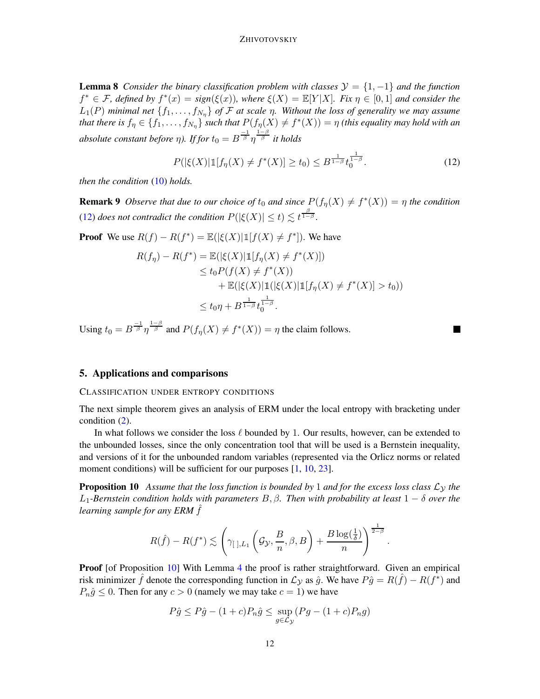**Lemma 8** *Consider the binary classification problem with classes*  $\mathcal{Y} = \{1, -1\}$  *and the function*  $f^* \in \mathcal{F}$ , defined by  $f^*(x) = sign(\xi(x))$ , where  $\xi(X) = \mathbb{E}[Y|X]$ . Fix  $\eta \in [0,1]$  and consider the  $L_1(P)$  *minimal net*  $\{f_1, \ldots, f_{N_n}\}$  *of*  $\mathcal F$  *at scale*  $\eta$ *. Without the loss of generality we may assume that there is*  $f_{\eta} \in \{f_1, \ldots, f_{N_{\eta}}\}$  such that  $P(f_{\eta}(X) \neq f^*(X)) = \eta$  *(this equality may hold with an* absolute constant before  $\eta$ ). If for  $t_0 = B^{\frac{-1}{\beta}} \eta^{\frac{1-\beta}{\beta}}$  it holds

<span id="page-11-1"></span>
$$
P(|\xi(X)|\mathbb{1}[f_{\eta}(X) \neq f^*(X)] \ge t_0) \le B^{\frac{1}{1-\beta}} t_0^{\frac{1}{1-\beta}}.
$$
 (12)

<span id="page-11-2"></span>п

*then the condition* [\(10\)](#page-10-0) *holds.*

**Remark 9** *Observe that due to our choice of*  $t_0$  *and since*  $P(f_\eta(X) \neq f^*(X)) = \eta$  *the condition* [\(12\)](#page-11-1) *does not contradict the condition*  $P(|\xi(X)| \le t) \lesssim t^{\frac{\beta}{1-\beta}}$ .

**Proof** We use  $R(f) - R(f^*) = \mathbb{E}(|\xi(X)| \mathbb{1}[f(X) \neq f^*])$ . We have  $R(f_{\eta}) - R(f^*) = \mathbb{E}(|\xi(X)|\mathbb{1}[f_{\eta}(X) \neq f^*(X)])$  $\leq t_0 P(f(X) \neq f^*(X))$  $+ \mathbb{E}(|\xi(X)|1(|\xi(X)|1|f_{\eta}(X) \neq f^*(X)] > t_0))$  $\leq t_0 \eta + B^{\frac{1}{1-\beta}} t_0^{\frac{1}{1-\beta}}.$ 

Using  $t_0 = B^{\frac{-1}{\beta}} \eta^{\frac{1-\beta}{\beta}}$  and  $P(f_\eta(X) \neq f^*(X)) = \eta$  the claim follows.

## <span id="page-11-0"></span>5. Applications and comparisons

## CLASSIFICATION UNDER ENTROPY CONDITIONS

The next simple theorem gives an analysis of ERM under the local entropy with bracketing under condition [\(2\)](#page-2-0).

In what follows we consider the loss  $\ell$  bounded by 1. Our results, however, can be extended to the unbounded losses, since the only concentration tool that will be used is a Bernstein inequality, and versions of it for the unbounded random variables (represented via the Orlicz norms or related moment conditions) will be sufficient for our purposes [\[1](#page-22-13), [10,](#page-22-9) [23](#page-23-10)].

**Proposition 10** Assume that the loss function is bounded by 1 and for the excess loss class  $\mathcal{L}_y$  the L1*-Bernstein condition holds with parameters* B, β*. Then with probability at least* 1 − δ *over the learning sample for any ERM* ˆf

$$
R(\hat{f}) - R(f^*) \lesssim \left(\gamma_{[\;],L_1}\left(\mathcal{G}_\mathcal{Y}, \frac{B}{n}, \beta, B\right) + \frac{B\log(\frac{1}{\delta})}{n}\right)^{\frac{1}{2-\beta}}.
$$

**Proof** [of Proposition [10\]](#page-11-2) With Lemma [4](#page-4-1) the proof is rather straightforward. Given an empirical risk minimizer  $\hat{f}$  denote the corresponding function in  $\mathcal{L}_{\mathcal{Y}}$  as  $\hat{g}$ . We have  $P\hat{g} = R(\hat{f}) - R(f^*)$  and  $P_n\hat{g} \leq 0$ . Then for any  $c > 0$  (namely we may take  $c = 1$ ) we have

$$
P\hat{g} \le P\hat{g} - (1+c)P_n\hat{g} \le \sup_{g \in \mathcal{L}y} (Pg - (1+c)P_ng)
$$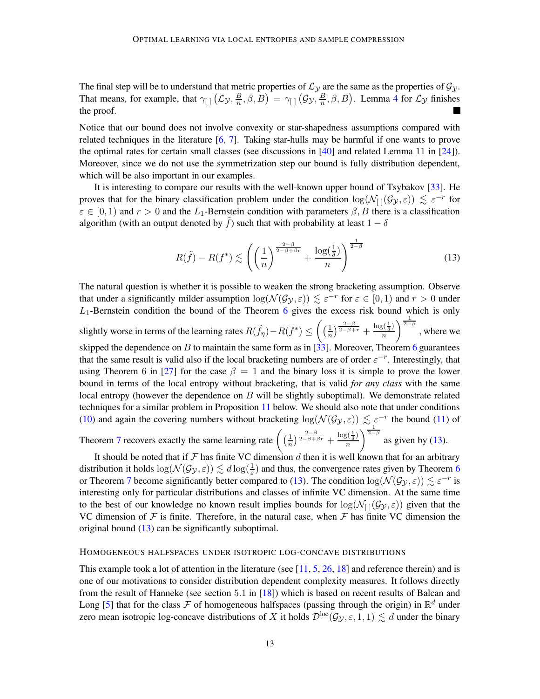The final step will be to understand that metric properties of  $\mathcal{L}_{\mathcal{Y}}$  are the same as the properties of  $\mathcal{G}_{\mathcal{Y}}$ . That means, for example, that  $\gamma_{\text{max}}(\mathcal{L}_{\mathcal{Y}}, \frac{B}{n})$  $\frac{B}{n},\beta,B$  =  $\gamma_{[~]}$   $(\mathcal{G}_{\mathcal{Y}},\frac{B}{n})$  $(\frac{B}{n}, \beta, B)$ . Lemma [4](#page-4-1) for  $\mathcal{L}_{\mathcal{Y}}$  finishes the proof.

Notice that our bound does not involve convexity or star-shapedness assumptions compared with related techniques in the literature  $[6, 7]$  $[6, 7]$  $[6, 7]$ . Taking star-hulls may be harmful if one wants to prove the optimal rates for certain small classes (see discussions in [\[40](#page-24-1)] and related Lemma 11 in [\[24](#page-23-5)]). Moreover, since we do not use the symmetrization step our bound is fully distribution dependent, which will be also important in our examples.

It is interesting to compare our results with the well-known upper bound of Tsybakov [\[33](#page-23-2)]. He proves that for the binary classification problem under the condition  $\log(N_{[1]}(\mathcal{G}_y,\varepsilon)) \lesssim \varepsilon^{-r}$  for  $\varepsilon \in [0,1)$  and  $r > 0$  and the  $L_1$ -Bernstein condition with parameters  $\beta, B$  there is a classification algorithm (with an output denoted by  $\hat{f}$ ) such that with probability at least  $1 - \delta$ 

<span id="page-12-0"></span>
$$
R(\tilde{f}) - R(f^*) \lesssim \left( \left( \frac{1}{n} \right)^{\frac{2-\beta}{2-\beta+\beta r}} + \frac{\log(\frac{1}{\delta})}{n} \right)^{\frac{1}{2-\beta}}
$$
(13)

The natural question is whether it is possible to weaken the strong bracketing assumption. Observe that under a significantly milder assumption  $\log(N(\mathcal{G}_y, \varepsilon)) \lesssim \varepsilon^{-r}$  for  $\varepsilon \in [0, 1)$  and  $r > 0$  under  $L_1$ -Bernstein condition the bound of the Theorem [6](#page-8-0) gives the excess risk bound which is only

slightly worse in terms of the learning rates  $R(\hat{f}_{\eta}) - R(f^*) \le \left( \frac{1}{n} \right)$  $\frac{1}{n}\big)^{\frac{2-\beta}{2-\beta+r}}+\frac{\log(\frac{1}{\delta})}{n}$ n  $\int_{0}^{\frac{1}{2-\beta}}$ , where we skipped the dependence on B to maintain the same form as in [\[33](#page-23-2)]. Moreover, Theorem [6](#page-8-0) guarantees that the same result is valid also if the local bracketing numbers are of order  $\varepsilon^{-r}$ . Interestingly, that using Theorem 6 in [\[27](#page-23-3)] for the case  $\beta = 1$  and the binary loss it is simple to prove the lower bound in terms of the local entropy without bracketing, that is valid *for any class* with the same local entropy (however the dependence on  $B$  will be slightly suboptimal). We demonstrate related techniques for a similar problem in Proposition [11](#page-13-0) below. We should also note that under conditions [\(10\)](#page-10-0) and again the covering numbers without bracketing  $\log(N(\mathcal{G}_{\mathcal{Y}}, \varepsilon)) \lesssim \varepsilon^{-r}$  the bound [\(11\)](#page-10-1) of

Theorem [7](#page-10-2) recovers exactly the same learning rate  $\left(\frac{1}{n}\right)$  $\frac{1}{n}\big)^{\frac{2-\beta}{2-\beta+\beta r}} + \frac{\log(\frac{1}{\delta})}{n}$ n  $\int_{0}^{\frac{1}{2-\beta}}$  as given by [\(13\)](#page-12-0).

It should be noted that if  $\mathcal F$  has finite VC dimension  $d$  then it is well known that for an arbitrary distribution it holds  $\log(N(\mathcal{G}_y, \varepsilon)) \lesssim d \log(\frac{1}{\varepsilon})$  and thus, the convergence rates given by Theorem [6](#page-8-0) or Theorem [7](#page-10-2) become significantly better compared to [\(13\)](#page-12-0). The condition  $\log(N(\mathcal{G}_y, \varepsilon)) \lesssim \varepsilon^{-r}$  is interesting only for particular distributions and classes of infinite VC dimension. At the same time to the best of our knowledge no known result implies bounds for  $\log(N_{[} (\mathcal{G}_{\mathcal{Y}}, \varepsilon))$  given that the VC dimension of  $\mathcal F$  is finite. Therefore, in the natural case, when  $\mathcal F$  has finite VC dimension the original bound [\(13\)](#page-12-0) can be significantly suboptimal.

#### HOMOGENEOUS HALFSPACES UNDER ISOTROPIC LOG-CONCAVE DISTRIBUTIONS

This example took a lot of attention in the literature (see  $[11, 5, 26, 18]$  $[11, 5, 26, 18]$  $[11, 5, 26, 18]$  $[11, 5, 26, 18]$  $[11, 5, 26, 18]$  $[11, 5, 26, 18]$  and reference therein) and is one of our motivations to consider distribution dependent complexity measures. It follows directly from the result of Hanneke (see section 5.1 in [\[18](#page-23-12)]) which is based on recent results of Balcan and Long [\[5](#page-22-14)] that for the class  $\mathcal F$  of homogeneous halfspaces (passing through the origin) in  $\mathbb R^d$  under zero mean isotropic log-concave distributions of X it holds  $\mathcal{D}^{\text{loc}}(\mathcal{G}_{\mathcal{Y}}, \varepsilon, 1, 1) \lesssim d$  under the binary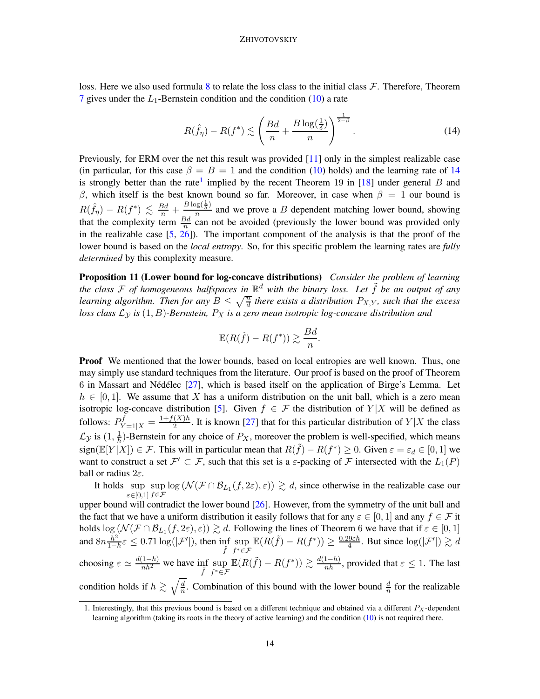loss. Here we also used formula [8](#page-9-0) to relate the loss class to the initial class  $\mathcal F$ . Therefore, Theorem [7](#page-10-2) gives under the  $L_1$ -Bernstein condition and the condition [\(10\)](#page-10-0) a rate

<span id="page-13-1"></span>
$$
R(\hat{f}_{\eta}) - R(f^*) \lesssim \left(\frac{Bd}{n} + \frac{B\log\left(\frac{1}{\delta}\right)}{n}\right)^{\frac{1}{2-\beta}}.\tag{14}
$$

Previously, for ERM over the net this result was provided [\[11](#page-22-6)] only in the simplest realizable case (in particular, for this case  $\beta = B = 1$  and the condition [\(10\)](#page-10-0) holds) and the learning rate of [14](#page-13-1) is strongly better than the rate<sup>[1](#page-13-2)</sup> implied by the recent Theorem 19 in [\[18\]](#page-23-12) under general B and β, which itself is the best known bound so far. Moreover, in case when  $β = 1$  our bound is  $R(\hat{f}_{\eta}) - R(f^*) \leq \frac{Bd}{n} + \frac{B\log(\frac{1}{\delta})}{n}$  $\frac{\partial \mathcal{L}(\delta)}{n}$  and we prove a B dependent matching lower bound, showing that the complexity term  $\frac{Bd}{n}$  can not be avoided (previously the lower bound was provided only in the realizable case  $[5, 26]$  $[5, 26]$ ). The important component of the analysis is that the proof of the lower bound is based on the *local entropy*. So, for this specific problem the learning rates are *fully determined* by this complexity measure.

Proposition 11 (Lower bound for log-concave distributions) *Consider the problem of learning the class* F *of homogeneous halfspaces in* R <sup>d</sup> *with the binary loss. Let* ˜f *be an output of any learning algorithm. Then for any*  $B \leq \sqrt{\frac{n}{d}}$  *there exists a distribution*  $P_{X,Y}$ *, such that the excess loss class*  $\mathcal{L}_{\mathcal{Y}}$  *is* (1, B)*-Bernstein,*  $P_X$  *is a zero mean isotropic log-concave distribution and* 

<span id="page-13-0"></span>
$$
\mathbb{E}(R(\tilde{f}) - R(f^*)) \gtrsim \frac{Bd}{n}.
$$

**Proof** We mentioned that the lower bounds, based on local entropies are well known. Thus, one may simply use standard techniques from the literature. Our proof is based on the proof of Theorem 6 in Massart and Nédélec  $[27]$ , which is based itself on the application of Birge's Lemma. Let  $h \in [0, 1]$ . We assume that X has a uniform distribution on the unit ball, which is a zero mean isotropic log-concave distribution [\[5\]](#page-22-14). Given  $f \in \mathcal{F}$  the distribution of  $Y|X$  will be defined as follows:  $P_{Y=1|X}^{f} = \frac{1+f(X)h}{2}$  $\frac{(\Lambda)h}{2}$ . It is known [\[27\]](#page-23-3) that for this particular distribution of  $Y|X$  the class  $\mathcal{L}_{\mathcal{Y}}$  is  $(1, \frac{1}{h}$  $\frac{1}{h}$ )-Bernstein for any choice of  $P_X$ , moreover the problem is well-specified, which means sign( $\mathbb{E}[Y|X]$ )  $\in \mathcal{F}$ . This will in particular mean that  $R(\tilde{f}) - R(f^*) \geq 0$ . Given  $\varepsilon = \varepsilon_d \in [0,1]$  we want to construct a set  $\mathcal{F}' \subset \mathcal{F}$ , such that this set is a  $\varepsilon$ -packing of  $\mathcal F$  intersected with the  $L_1(P)$ ball or radius  $2\varepsilon$ .

It holds sup sup  $\log(N(\mathcal{F} \cap \mathcal{B}_{L_1}(f, 2\varepsilon), \varepsilon)) \gtrsim d$ , since otherwise in the realizable case our ε $\in [0,1]$   $f \in \mathcal{F}$ upper bound will contradict the lower bound [\[26](#page-23-11)]. However, from the symmetry of the unit ball and

the fact that we have a uniform distribution it easily follows that for any  $\varepsilon \in [0,1]$  and any  $f \in \mathcal{F}$  it holds  $\log(N(\mathcal{F} \cap \mathcal{B}_{L_1}(f, 2\varepsilon), \varepsilon)) \gtrsim d$ . Following the lines of Theorem 6 we have that if  $\varepsilon \in [0, 1]$ and  $8n\frac{h^2}{1}$  $\frac{h^2}{1-h}\varepsilon \leq 0.71 \log(|\mathcal{F}'|)$ , then  $\inf_{\tilde{\varepsilon}}$  $\tilde{f}$ sup f <sup>∗</sup>∈F  $\mathbb{E}(R(\tilde{f}) - R(f^*)) \geq \frac{0.29 \varepsilon h}{4}$  $\frac{d\theta \in h}{4}$ . But since  $\log(|\mathcal{F}'|) \gtrsim d$ choosing  $\varepsilon \simeq \frac{d(1-h)}{nh^2}$  we have  $\inf_{\tilde{f}}$ sup f <sup>∗</sup>∈F  $\mathbb{E}(R(\tilde{f}) - R(f^*)) \gtrsim \frac{d(1-h)}{nh}$ , provided that  $\varepsilon \leq 1$ . The last condition holds if  $h \gtrsim \sqrt{\frac{d}{n}}$  $\frac{d}{n}$ . Combination of this bound with the lower bound  $\frac{d}{n}$  for the realizable

<span id="page-13-2"></span><sup>1.</sup> Interestingly, that this previous bound is based on a different technique and obtained via a different  $P_X$ -dependent learning algorithm (taking its roots in the theory of active learning) and the condition [\(10\)](#page-10-0) is not required there.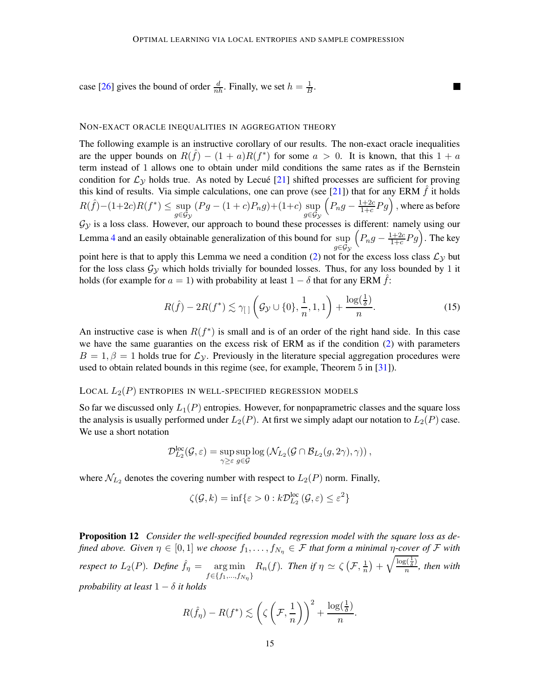case [\[26](#page-23-11)] gives the bound of order  $\frac{d}{nh}$ . Finally, we set  $h = \frac{1}{B}$  $\frac{1}{B}$ .

#### NON-EXACT ORACLE INEQUALITIES IN AGGREGATION THEORY

The following example is an instructive corollary of our results. The non-exact oracle inequalities are the upper bounds on  $R(\hat{f}) - (1 + a)R(f^*)$  for some  $a > 0$ . It is known, that this  $1 + a$ term instead of 1 allows one to obtain under mild conditions the same rates as if the Bernstein condition for  $\mathcal{L}_{\gamma}$  holds true. As noted by Lecué [\[21](#page-23-7)] shifted processes are sufficient for proving this kind of results. Via simple calculations, one can prove (see [\[21](#page-23-7)]) that for any ERM  $\hat{f}$  it holds  $R(\hat{f}) - (1+2c)R(f^*) \leq \sup$  $g$ ∈ ${\cal G}_{{\cal Y}}$  $(Pg - (1 + c)P_n g) + (1+c) \sup$  $g$ ∈ ${\cal G}_{{\cal Y}}$  $\left(P_n g - \frac{1+2c}{1+c}\right)$  $\frac{1+2c}{1+c}Pg\Big)$  , where as before  $\mathcal{G}_{\mathcal{Y}}$  is a loss class. However, our approach to bound these processes is different: namely using our Lemma [4](#page-4-1) and an easily obtainable generalization of this bound for sup  $g$ ∈ $\mathcal{G}_\mathcal{Y}$  $\left(P_n g - \frac{1+2c}{1+c}\right)$  $\frac{1+2c}{1+c}Pg$ ). The key point here is that to apply this Lemma we need a condition [\(2\)](#page-2-0) not for the excess loss class  $\mathcal{L}_y$  but for the loss class  $\mathcal{G}_v$  which holds trivially for bounded losses. Thus, for any loss bounded by 1 it holds (for example for  $a = 1$ ) with probability at least  $1 - \delta$  that for any ERM  $f$ :

$$
R(\hat{f}) - 2R(f^*) \lesssim \gamma_{\text{r}} \left( \mathcal{G}_{\mathcal{Y}} \cup \{0\}, \frac{1}{n}, 1, 1 \right) + \frac{\log(\frac{1}{\delta})}{n}.\tag{15}
$$

 $\blacksquare$ 

An instructive case is when  $R(f^*)$  is small and is of an order of the right hand side. In this case we have the same guaranties on the excess risk of ERM as if the condition [\(2\)](#page-2-0) with parameters  $B = 1, \beta = 1$  holds true for  $\mathcal{L}_{\mathcal{V}}$ . Previously in the literature special aggregation procedures were used to obtain related bounds in this regime (see, for example, Theorem 5 in [\[31\]](#page-23-4)).

#### LOCAL  $L_2(P)$  entropies in well-specified regression models

So far we discussed only  $L_1(P)$  entropies. However, for nonpaprametric classes and the square loss the analysis is usually performed under  $L_2(P)$ . At first we simply adapt our notation to  $L_2(P)$  case. We use a short notation

$$
\mathcal{D}_{L_2}^{\rm loc}(\mathcal{G},\varepsilon)=\sup_{\gamma\geq\varepsilon}\sup_{g\in\mathcal{G}}\log\left(\mathcal{N}_{L_2}(\mathcal{G}\cap\mathcal{B}_{L_2}(g,2\gamma),\gamma)\right),
$$

where  $\mathcal{N}_{L_2}$  denotes the covering number with respect to  $L_2(P)$  norm. Finally,

$$
\zeta(\mathcal{G},k) = \inf \{ \varepsilon > 0 : k\mathcal{D}_{L_2}^{\text{loc}}(\mathcal{G},\varepsilon) \le \varepsilon^2 \}
$$

<span id="page-14-0"></span>Proposition 12 *Consider the well-specified bounded regression model with the square loss as defined above. Given*  $\eta \in [0,1]$  *we choose*  $f_1, \ldots, f_{N_\eta} \in \mathcal{F}$  *that form a minimal*  $\eta$ -cover of  $\mathcal{F}$  *with respect to*  $L_2(P)$ *. Define*  $\hat{f}_\eta = \argmin$  $f \in \{f_1, ..., f_{N_{\eta}}\}$  $R_n(f)$ *. Then if*  $\eta \simeq \zeta \left( \mathcal{F}, \frac{1}{n} \right)$  $\frac{1}{n}\big)+\sqrt{\frac{\log(\frac{1}{\delta})}{n}}$  $\frac{\partial \overline{\delta}}{\partial n}$ , then with *probability at least*  $1 - \delta$  *it holds* 

$$
R(\hat{f}_{\eta}) - R(f^*) \lesssim \left(\zeta\left(\mathcal{F}, \frac{1}{n}\right)\right)^2 + \frac{\log(\frac{1}{\delta})}{n}.
$$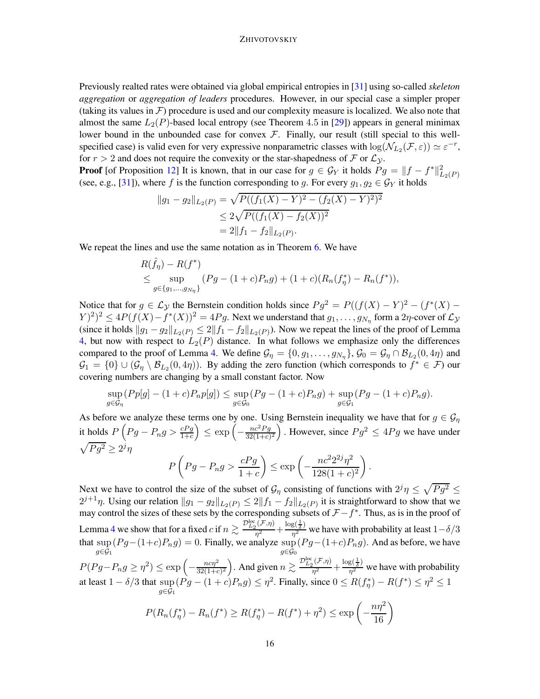Previously realted rates were obtained via global empirical entropies in [\[31\]](#page-23-4) using so-called *skeleton aggregation* or *aggregation of leaders* procedures. However, in our special case a simpler proper (taking its values in  $\mathcal F$ ) procedure is used and our complexity measure is localized. We also note that almost the same  $L_2(P)$ -based local entropy (see Theorem 4.5 in [\[29](#page-23-6)]) appears in general minimax lower bound in the unbounded case for convex  $F$ . Finally, our result (still special to this wellspecified case) is valid even for very expressive nonparametric classes with  $\log(N_{L_2}(\mathcal{F}, \varepsilon)) \simeq \varepsilon^{-r}$ , for  $r > 2$  and does not require the convexity or the star-shapedness of F or  $\mathcal{L}_y$ .

**Proof** [of Proposition [12\]](#page-14-0) It is known, that in our case for  $g \in \mathcal{G}_Y$  it holds  $Pg = ||f - f^*||^2_{L_2(P)}$ (see, e.g., [\[31\]](#page-23-4)), where f is the function corresponding to g. For every  $g_1, g_2 \in \mathcal{G}_Y$  it holds

$$
||g_1 - g_2||_{L_2(P)} = \sqrt{P((f_1(X) - Y)^2 - (f_2(X) - Y)^2)^2}
$$
  
\n
$$
\leq 2\sqrt{P((f_1(X) - f_2(X))^2)}
$$
  
\n
$$
= 2||f_1 - f_2||_{L_2(P)}.
$$

We repeat the lines and use the same notation as in Theorem [6.](#page-8-0) We have

$$
R(\hat{f}_{\eta}) - R(f^*)
$$
  
\n
$$
\leq \sup_{g \in \{g_1, \dots, g_{N_{\eta}}\}} (Pg - (1+c)P_n g) + (1+c)(R_n(f_{\eta}^*) - R_n(f^*)),
$$

Notice that for  $g \in \mathcal{L}_{\mathcal{Y}}$  the Bernstein condition holds since  $Pg^2 = P((f(X) - Y)^2 - (f^*(X) - Y)^2)$  $(Y)^2)^2 \leq 4P(f(X) - f^*(X))^2 = 4Pg$ . Next we understand that  $g_1, \ldots, g_{N_{\eta}}$  form a  $2\eta$ -cover of  $\mathcal{L}_\mathcal{Y}$ (since it holds  $||g_1 - g_2||_{L_2(P)} \le 2||f_1 - f_2||_{L_2(P)}$ ). Now we repeat the lines of the proof of Lemma [4,](#page-4-1) but now with respect to  $L_2(P)$  distance. In what follows we emphasize only the differences compared to the proof of Lemma [4.](#page-4-1) We define  $\mathcal{G}_\eta = \{0, g_1, \dots, g_{N_\eta}\}, \mathcal{G}_0 = \mathcal{G}_\eta \cap \mathcal{B}_{L_2}(0, 4\eta)$  and  $\mathcal{G}_1 = \{0\} \cup (\mathcal{G}_\eta \setminus \mathcal{B}_{L_2}(0, 4\eta))$ . By adding the zero function (which corresponds to  $f^* \in \mathcal{F}$ ) our covering numbers are changing by a small constant factor. Now

$$
\sup_{g \in \mathcal{G}_{\eta}} (Pp[g] - (1+c)P_n p[g]) \leq \sup_{g \in \mathcal{G}_0} (Pg - (1+c)P_n g) + \sup_{g \in \mathcal{G}_1} (Pg - (1+c)P_n g).
$$

As before we analyze these terms one by one. Using Bernstein inequality we have that for  $g \in \mathcal{G}_\eta$ it holds  $P\left(Pg-P_n g> \frac{cPg}{1+c}\right)\leq \exp\left(-\frac{nc^2Pg}{32(1+c)}\right)$  $\frac{nc^2Pg}{32(1+c)^2}$ . However, since  $Pg^2 \leq 4Pg$  we have under  $\sqrt{Pg^2} \geq 2^j\eta$ 2

$$
P\left(Pg - P_n g > \frac{cPg}{1+c}\right) \le \exp\left(-\frac{nc^2 2^{2j} \eta^2}{128(1+c)^2}\right)
$$

.

Next we have to control the size of the subset of  $\mathcal{G}_{\eta}$  consisting of functions with  $2^j \eta \leq \sqrt{P g^2} \leq$  $2^{j+1}\eta$ . Using our relation  $||g_1 - g_2||_{L_2(P)} \leq 2||f_1 - f_2||_{L_2(P)}$  it is straightforward to show that we may control the sizes of these sets by the corresponding subsets of  $\mathcal{F} - f^*$ . Thus, as is in the proof of Lemma [4](#page-4-1) we show that for a fixed c if  $n \gtrsim \frac{\mathcal{D}_{L_2}^{\text{loc}}(\mathcal{F}, \eta)}{n^2}$  $\frac{1}{2}(\mathcal{F},\eta)$  +  $\frac{\log(\frac{1}{\delta})}{\eta^2}$  $\frac{8(\frac{2}{\delta})}{\eta^2}$  we have with probability at least  $1-\delta/3$ that sup  $_{g\in {\cal G}_1}$  $(Pg-(1+c)P_ng) = 0$ . Finally, we analyze sup  $_{g\in\mathcal{G}_0}$  $(Pg-(1+c)P_ng)$ . And as before, we have

 $P(Pg-P_n g\geq \eta^2) \leq \exp\left(-\frac{nc\eta^2}{32(1+\epsilon)}\right)$  $\frac{nc\eta^2}{32(1+c)^2}$ ). And given  $n \gtrsim \frac{\mathcal{D}_{L_2}^{\text{loc}}(\mathcal{F},\eta)}{\eta^2}$  $\frac{\rho_1(\mathcal{F},\eta)}{\eta^2} + \frac{\log(\frac{1}{\delta})}{\eta^2}$  $\frac{B(\delta)}{\eta^2}$  we have with probability at least  $1 - \delta/3$  that  $\sup (Pg - (1+c)P_ng) \leq \eta^2$ . Finally, since  $0 \leq R(f_\eta^*) - R(f^*) \leq \eta^2 \leq 1$  $q ∈ G_1$ 

$$
P(R_n(f_{\eta}^*) - R_n(f^*) \ge R(f_{\eta}^*) - R(f^*) + \eta^2) \le \exp\left(-\frac{n\eta^2}{16}\right)
$$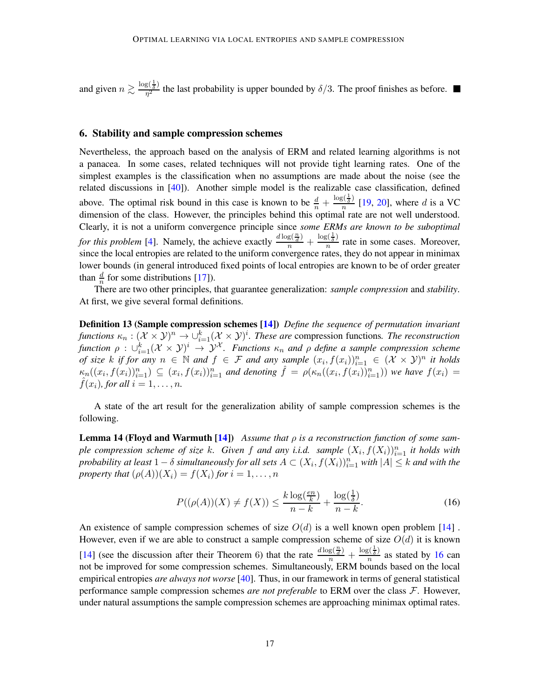and given  $n \gtrsim \frac{\log(\frac{1}{\delta})}{n^2}$  $\frac{8(\bar{x})}{\eta^2}$  the last probability is upper bounded by  $\delta/3$ . The proof finishes as before.

## <span id="page-16-0"></span>6. Stability and sample compression schemes

Nevertheless, the approach based on the analysis of ERM and related learning algorithms is not a panacea. In some cases, related techniques will not provide tight learning rates. One of the simplest examples is the classification when no assumptions are made about the noise (see the related discussions in [\[40\]](#page-24-1)). Another simple model is the realizable case classification, defined above. The optimal risk bound in this case is known to be  $\frac{d}{n} + \frac{\log(\frac{1}{\delta})}{n}$  $\frac{s(\frac{1}{\delta})}{n}$  [\[19](#page-23-13), [20](#page-23-14)], where d is a VC dimension of the class. However, the principles behind this optimal rate are not well understood. Clearly, it is not a uniform convergence principle since *some ERMs are known to be suboptimal for this problem* [\[4](#page-22-15)]. Namely, the achieve exactly  $\frac{d \log(\frac{n}{d})}{n} + \frac{\log(\frac{1}{\delta})}{n}$  $\frac{\sqrt{5}}{n}$  rate in some cases. Moreover, since the local entropies are related to the uniform convergence rates, they do not appear in minimax lower bounds (in general introduced fixed points of local entropies are known to be of order greater than  $\frac{d}{n}$  for some distributions [\[17](#page-22-5)]).

There are two other principles, that guarantee generalization: *sample compression* and *stability*. At first, we give several formal definitions.

Definition 13 (Sample compression schemes [\[14](#page-22-7)]) *Define the sequence of permutation invariant functions*  $\kappa_n : (\mathcal{X} \times \mathcal{Y})^n \to \bigcup_{i=1}^k (\mathcal{X} \times \mathcal{Y})^i$ . These are compression functions. The reconstruction *function*  $\rho$  :  $\cup_{i=1}^k (\mathcal{X} \times \mathcal{Y})^i$   $\to \mathcal{Y}^{\mathcal{X}}$ . Functions  $\kappa_n$  and  $\rho$  define a sample compression scheme *of size* k if for any  $n \in \mathbb{N}$  and  $f \in \mathcal{F}$  and any sample  $(x_i, f(x_i))_{i=1}^n \in (\mathcal{X} \times \mathcal{Y})^n$  it holds  $\kappa_n((x_i,f(x_i))_{i=1}^n) \subseteq (x_i,f(x_i))_{i=1}^n$  and denoting  $\hat{f} = \rho(\kappa_n((x_i,f(x_i))_{i=1}^n))$  we have  $f(x_i) =$  $\hat{f}(x_i)$ *, for all*  $i = 1, \ldots, n$ *.* 

A state of the art result for the generalization ability of sample compression schemes is the following.

Lemma 14 (Floyd and Warmuth [\[14](#page-22-7)]) *Assume that* ρ *is a reconstruction function of some sample compression scheme of size k.* Given f and any *i.i.d.* sample  $(X_i, f(X_i))_{i=1}^n$  it holds with *probability at least*  $1 - \delta$  *simultaneously for all sets*  $A \subset (X_i, f(X_i))_{i=1}^n$  *with*  $|A| \leq k$  *and with the property that*  $(\rho(A))(X_i) = f(X_i)$  *for*  $i = 1, \ldots, n$ 

<span id="page-16-1"></span>
$$
P((\rho(A))(X) \neq f(X)) \leq \frac{k \log(\frac{en}{k})}{n-k} + \frac{\log(\frac{1}{\delta})}{n-k}.
$$
\n(16)

An existence of sample compression schemes of size  $O(d)$  is a well known open problem [\[14](#page-22-7)]. However, even if we are able to construct a sample compression scheme of size  $O(d)$  it is known [\[14](#page-22-7)] (see the discussion after their Theorem 6) that the rate  $\frac{d \log(\frac{n}{d})}{n} + \frac{\log(\frac{1}{\delta})}{n}$  $\frac{\partial (\overline{\delta})}{\partial n}$  as stated by [16](#page-16-1) can not be improved for some compression schemes. Simultaneously, ERM bounds based on the local empirical entropies *are always not worse* [\[40\]](#page-24-1). Thus, in our framework in terms of general statistical performance sample compression schemes *are not preferable* to ERM over the class F. However, under natural assumptions the sample compression schemes are approaching minimax optimal rates.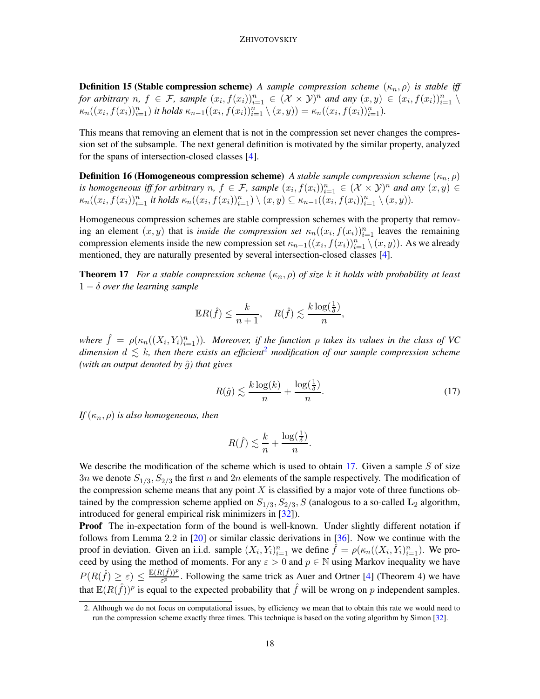**Definition 15 (Stable compression scheme)** *A sample compression scheme*  $(\kappa_n, \rho)$  *is stable iff for arbitrary*  $n, f \in \mathcal{F}$ , sample  $(x_i, f(x_i))_{i=1}^n \in (\mathcal{X} \times \mathcal{Y})^n$  and any  $(x, y) \in (x_i, f(x_i))_{i=1}^n \setminus$  $\kappa_n((x_i, f(x_i))_{i=1}^n)$  *it holds*  $\kappa_{n-1}((x_i, f(x_i))_{i=1}^n \setminus (x, y)) = \kappa_n((x_i, f(x_i))_{i=1}^n)$ .

This means that removing an element that is not in the compression set never changes the compression set of the subsample. The next general definition is motivated by the similar property, analyzed for the spans of intersection-closed classes [\[4](#page-22-15)].

**Definition 16 (Homogeneous compression scheme)** *A stable sample compression scheme*  $(\kappa_n, \rho)$ *is homogeneous iff for arbitrary*  $n, f \in \mathcal{F}$ , sample  $(x_i, f(x_i))_{i=1}^n \in (\mathcal{X} \times \mathcal{Y})^n$  and any  $(x, y) \in$  $\kappa_n((x_i, f(x_i))_{i=1}^n$  it holds  $\kappa_n((x_i, f(x_i))_{i=1}^n) \setminus (x, y) \subseteq \kappa_{n-1}((x_i, f(x_i))_{i=1}^n \setminus (x, y)).$ 

Homogeneous compression schemes are stable compression schemes with the property that removing an element  $(x, y)$  that is *inside the compression set*  $\kappa_n((x_i, f(x_i))_{i=1}^n$  leaves the remaining compression elements inside the new compression set  $\kappa_{n-1}((x_i, f(x_i))_{i=1}^n \setminus (x, y))$ . As we already mentioned, they are naturally presented by several intersection-closed classes [\[4\]](#page-22-15).

**Theorem 17** *For a stable compression scheme*  $(\kappa_n, \rho)$  *of size k it holds with probability at least* 1 − δ *over the learning sample*

<span id="page-17-2"></span>
$$
\mathbb{E}R(\hat{f}) \leq \frac{k}{n+1}, \quad R(\hat{f}) \lesssim \frac{k \log(\frac{1}{\delta})}{n},
$$

where  $\hat{f} = \rho(\kappa_n((X_i, Y_i)_{i=1}^n))$ *. Moreover, if the function*  $\rho$  *takes its values in the class of VC dimension*  $d \leq k$ , then there exists an efficient<sup>[2](#page-17-0)</sup> modification of our sample compression scheme *(with an output denoted by*  $\hat{g}$ *) that gives* 

<span id="page-17-1"></span>
$$
R(\hat{g}) \lesssim \frac{k \log(k)}{n} + \frac{\log(\frac{1}{\delta})}{n}.\tag{17}
$$

*If*  $(\kappa_n, \rho)$  *is also homogeneous, then* 

$$
R(\hat{f}) \lesssim \frac{k}{n} + \frac{\log(\frac{1}{\delta})}{n}.
$$

We describe the modification of the scheme which is used to obtain [17.](#page-17-1) Given a sample  $S$  of size 3n we denote  $S_{1/3}$ ,  $S_{2/3}$  the first n and 2n elements of the sample respectively. The modification of the compression scheme means that any point  $X$  is classified by a major vote of three functions obtained by the compression scheme applied on  $S_{1/3}$ ,  $S_{2/3}$ , S (analogous to a so-called  $L_2$  algorithm, introduced for general empirical risk minimizers in [\[32](#page-23-15)]).

**Proof** The in-expectation form of the bound is well-known. Under slightly different notation if follows from Lemma 2.2 in [\[20](#page-23-14)] or similar classic derivations in [\[36](#page-23-1)]. Now we continue with the proof in deviation. Given an i.i.d. sample  $(X_i, Y_i)_{i=1}^n$  we define  $\hat{f} = \rho(\kappa_n((X_i, Y_i)_{i=1}^n)$ . We proceed by using the method of moments. For any  $\varepsilon > 0$  and  $p \in \mathbb{N}$  using Markov inequality we have  $P(R(\hat{f}) \geq \varepsilon) \leq \frac{\mathbb{E}(R(\hat{f}))^p}{\varepsilon^p}$  $\frac{\epsilon(I)I}{\epsilon P}$ . Following the same trick as Auer and Ortner [\[4](#page-22-15)] (Theorem 4) we have that  $\mathbb{E}(R(\hat{f}))^p$  is equal to the expected probability that  $\hat{f}$  will be wrong on p independent samples.

<span id="page-17-0"></span><sup>2.</sup> Although we do not focus on computational issues, by efficiency we mean that to obtain this rate we would need to run the compression scheme exactly three times. This technique is based on the voting algorithm by Simon [\[32](#page-23-15)].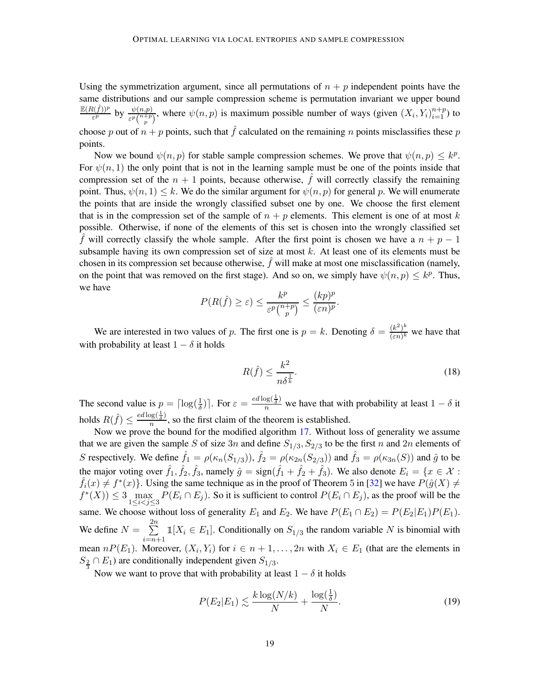Using the symmetrization argument, since all permutations of  $n + p$  independent points have the same distributions and our sample compression scheme is permutation invariant we upper bound  $\mathbb{E}(R(\hat{f}))^p$  $\frac{\psi(n,p)}{\varepsilon^p\binom{n+p}{p}}$ , where  $\psi(n,p)$  is maximum possible number of ways (given  $(X_i, Y_i)_{i=1}^{n+p}$ ) to choose p out of  $n + p$  points, such that  $\hat{f}$  calculated on the remaining n points misclassifies these p points.

Now we bound  $\psi(n, p)$  for stable sample compression schemes. We prove that  $\psi(n, p) \leq k^p$ . For  $\psi(n, 1)$  the only point that is not in the learning sample must be one of the points inside that compression set of the  $n + 1$  points, because otherwise,  $\hat{f}$  will correctly classify the remaining point. Thus,  $\psi(n, 1) \leq k$ . We do the similar argument for  $\psi(n, p)$  for general p. We will enumerate the points that are inside the wrongly classified subset one by one. We choose the first element that is in the compression set of the sample of  $n + p$  elements. This element is one of at most k possible. Otherwise, if none of the elements of this set is chosen into the wrongly classified set f will correctly classify the whole sample. After the first point is chosen we have a  $n + p - 1$ subsample having its own compression set of size at most  $k$ . At least one of its elements must be chosen in its compression set because otherwise,  $f$  will make at most one misclassification (namely, on the point that was removed on the first stage). And so on, we simply have  $\psi(n, p) \leq k^p$ . Thus, we have

$$
P(R(\hat{f}) \geq \varepsilon) \leq \frac{k^p}{\varepsilon^p \binom{n+p}{p}} \leq \frac{(kp)^p}{(\varepsilon n)^p}.
$$

We are interested in two values of p. The first one is  $p = k$ . Denoting  $\delta = \frac{(k^2)^k}{(sn)^k}$  $\frac{(\kappa^2)^n}{(\varepsilon n)^k}$  we have that with probability at least  $1 - \delta$  it holds

<span id="page-18-1"></span>
$$
R(\hat{f}) \le \frac{k^2}{n\delta^{\frac{1}{k}}}.\tag{18}
$$

The second value is  $p = \lceil \log(\frac{1}{\delta}) \rceil$ . For  $\varepsilon = \frac{ed \log(\frac{1}{\delta})}{n}$  we have that with probability at least  $1 - \delta$  it holds  $R(\hat{f}) \leq \frac{ed \log(\frac{1}{\delta})}{n}$  $\frac{\sqrt{8}(\overline{\delta})}{n}$ , so the first claim of the theorem is established.

Now we prove the bound for the modified algorithm [17.](#page-17-1) Without loss of generality we assume that we are given the sample S of size  $3n$  and define  $S_{1/3}$ ,  $S_{2/3}$  to be the first n and  $2n$  elements of S respectively. We define  $\hat{f}_1 = \rho(\kappa_n(S_{1/3}))$ ,  $\hat{f}_2 = \rho(\kappa_{2n}(S_{2/3}))$  and  $\hat{f}_3 = \rho(\kappa_{3n}(S))$  and  $\hat{g}$  to be the major voting over  $\hat{f}_1, \hat{f}_2, \hat{f}_3$ , namely  $\hat{g} = \text{sign}(\hat{f}_1 + \hat{f}_2 + \hat{f}_3)$ . We also denote  $E_i = \{x \in \mathcal{X} :$  $\hat{f}_i(x) \neq f^*(x)$ . Using the same technique as in the proof of Theorem 5 in [\[32\]](#page-23-15) we have  $P(\hat{g}(X) \neq \hat{f}(X))$  $f^*(X)$ )  $\leq 3 \max_{1 \leq i < j \leq 3} P(E_i \cap E_j)$ . So it is sufficient to control  $P(E_i \cap E_j)$ , as the proof will be the same. We choose without loss of generality  $E_1$  and  $E_2$ . We have  $P(E_1 \cap E_2) = P(E_2|E_1)P(E_1)$ . We define  $N = \sum_{n=1}^{2n}$  $\sum_{i=n+1} 1[X_i \in E_1]$ . Conditionally on  $S_{1/3}$  the random variable N is binomial with mean  $nP(E_1)$ . Moreover,  $(X_i, Y_i)$  for  $i \in n+1, \ldots, 2n$  with  $X_i \in E_1$  (that are the elements in  $S_{\frac{2}{3}} \cap E_1$ ) are conditionally independent given  $S_{1/3}$ .

Now we want to prove that with probability at least  $1 - \delta$  it holds

<span id="page-18-0"></span>
$$
P(E_2|E_1) \lesssim \frac{k \log(N/k)}{N} + \frac{\log(\frac{1}{\delta})}{N}.
$$
\n(19)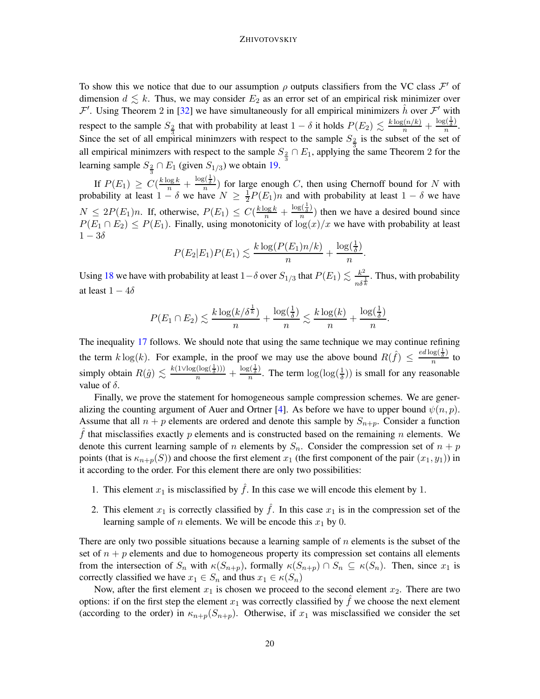To show this we notice that due to our assumption  $\rho$  outputs classifiers from the VC class  $\mathcal{F}'$  of dimension  $d \leq k$ . Thus, we may consider  $E_2$  as an error set of an empirical risk minimizer over  $\mathcal{F}'$ . Using Theorem 2 in [\[32](#page-23-15)] we have simultaneously for all empirical minimizers  $\hat{h}$  over  $\mathcal{F}'$  with respect to the sample  $S_{\frac{2}{3}}$  that with probability at least  $1 - \delta$  it holds  $P(E_2) \lesssim \frac{k \log(n/k)}{n} + \frac{\log(\frac{1}{\delta})}{n}$  $\frac{5(\delta)}{n}$ . Since the set of all empirical minimzers with respect to the sample  $S_{\frac{3}{3}}$  is the subset of the set of all empirical minimzers with respect to the sample  $S_{\frac{2}{3}} \cap E_1$ , applying the same Theorem 2 for the learning sample  $S_{\frac{2}{3}} \cap E_1$  (given  $S_{1/3}$ ) we obtain [19.](#page-18-0)

If  $P(E_1) \geq C(\frac{k \log k}{n} + \frac{\log(\frac{1}{\delta})}{n})$  $\frac{\partial \langle \overline{\delta} \rangle}{\partial n}$  for large enough C, then using Chernoff bound for N with probability at least  $1 - \delta$  we have  $N \geq \frac{1}{2}$  $\frac{1}{2}P(E_1)n$  and with probability at least  $1 - \delta$  we have  $N \leq 2P(E_1)n$ . If, otherwise,  $P(E_1) \leq C(\frac{k \log k}{n} + \frac{\log(\frac{1}{\delta})}{n})$  $\frac{\sqrt{5}}{n}$ ) then we have a desired bound since  $P(E_1 \cap E_2) \le P(E_1)$ . Finally, using monotonicity of  $\log(x)/x$  we have with probability at least  $1-3\delta$ 

$$
P(E_2|E_1)P(E_1) \lesssim \frac{k \log(P(E_1)n/k)}{n} + \frac{\log(\frac{1}{\delta})}{n}.
$$

Using [18](#page-18-1) we have with probability at least 1– $\delta$  over  $S_{1/3}$  that  $P(E_1) \lesssim \frac{k^2}{\epsilon^2}$  $\frac{k^2}{n\delta^{\frac{1}{k}}}$ . Thus, with probability at least  $1 - 4\delta$ 

$$
P(E_1 \cap E_2) \lesssim \frac{k \log(k/\delta^{\frac{1}{\delta}})}{n} + \frac{\log(\frac{1}{\delta})}{n} \lesssim \frac{k \log(k)}{n} + \frac{\log(\frac{1}{\delta})}{n}.
$$

The inequality [17](#page-17-1) follows. We should note that using the same technique we may continue refining the term  $k \log(k)$ . For example, in the proof we may use the above bound  $R(\hat{f}) \leq \frac{ed \log(\frac{1}{\delta})}{n}$  $\frac{\sqrt{8}(\overline{\delta})}{n}$  to simply obtain  $R(\hat{g}) \lesssim \frac{k(1 \vee \log(\log(\frac{1}{\delta})))}{n} + \frac{\log(\frac{1}{\delta})}{n}$  $\frac{\zeta(\frac{1}{\delta})}{n}$ . The term  $\log(\log(\frac{1}{\delta}))$  is small for any reasonable value of  $\delta$ .

Finally, we prove the statement for homogeneous sample compression schemes. We are gener-alizing the counting argument of Auer and Ortner [\[4\]](#page-22-15). As before we have to upper bound  $\psi(n, p)$ . Assume that all  $n + p$  elements are ordered and denote this sample by  $S_{n+p}$ . Consider a function  $\hat{f}$  that misclassifies exactly p elements and is constructed based on the remaining n elements. We denote this current learning sample of n elements by  $S_n$ . Consider the compression set of  $n + p$ points (that is  $\kappa_{n+p}(S)$ ) and choose the first element  $x_1$  (the first component of the pair  $(x_1, y_1)$ ) in it according to the order. For this element there are only two possibilities:

- 1. This element  $x_1$  is misclassified by  $\hat{f}$ . In this case we will encode this element by 1.
- 2. This element  $x_1$  is correctly classified by  $\hat{f}$ . In this case  $x_1$  is in the compression set of the learning sample of *n* elements. We will be encode this  $x_1$  by 0.

There are only two possible situations because a learning sample of  $n$  elements is the subset of the set of  $n + p$  elements and due to homogeneous property its compression set contains all elements from the intersection of  $S_n$  with  $\kappa(S_{n+p})$ , formally  $\kappa(S_{n+p}) \cap S_n \subseteq \kappa(S_n)$ . Then, since  $x_1$  is correctly classified we have  $x_1 \in S_n$  and thus  $x_1 \in \kappa(S_n)$ 

Now, after the first element  $x_1$  is chosen we proceed to the second element  $x_2$ . There are two options: if on the first step the element  $x_1$  was correctly classified by  $\hat{f}$  we choose the next element (according to the order) in  $\kappa_{n+p}(S_{n+p})$ . Otherwise, if  $x_1$  was misclassified we consider the set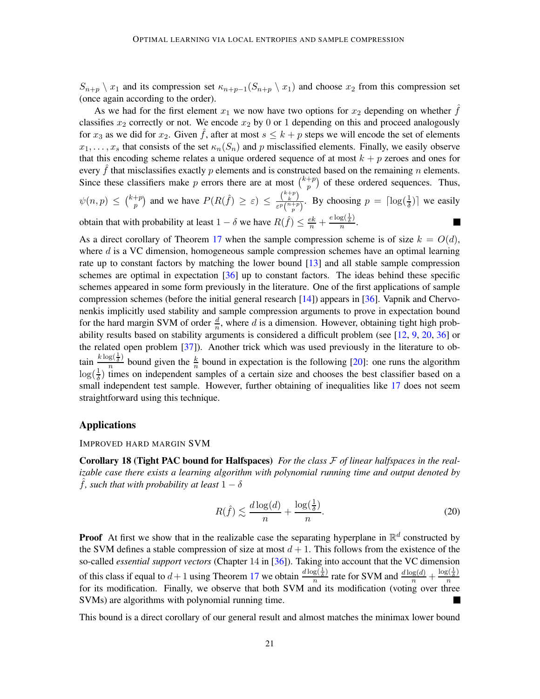$S_{n+p} \setminus x_1$  and its compression set  $\kappa_{n+p-1}(S_{n+p} \setminus x_1)$  and choose  $x_2$  from this compression set (once again according to the order).

As we had for the first element  $x_1$  we now have two options for  $x_2$  depending on whether f classifies  $x_2$  correctly or not. We encode  $x_2$  by 0 or 1 depending on this and proceed analogously for  $x_3$  as we did for  $x_2$ . Given  $\tilde{f}$ , after at most  $s \leq k + p$  steps we will encode the set of elements  $x_1, \ldots, x_s$  that consists of the set  $\kappa_n(S_n)$  and p misclassified elements. Finally, we easily observe that this encoding scheme relates a unique ordered sequence of at most  $k + p$  zeroes and ones for every  $\hat{f}$  that misclassifies exactly p elements and is constructed based on the remaining n elements. Since these classifiers make p errors there are at most  $\binom{k+p}{n}$  $p^{+p}$ ) of these ordered sequences. Thus,

$$
\psi(n,p) \leq {k+p \choose p}
$$
 and we have  $P(R(\hat{f}) \geq \varepsilon) \leq \frac{{k+p \choose k}}{\varepsilon^p {n+p \choose p}}$ . By choosing  $p = \lceil \log(\frac{1}{\delta}) \rceil$  we easily obtain that with probability at least  $1 - \delta$  we have  $R(\hat{f}) \leq \frac{ek}{\delta} + \frac{e \log(\frac{1}{\delta})}{\varepsilon}$ .

obtain that with probability at least  $1 - \delta$  we have  $R(\hat{f}) \leq \frac{ek}{n} + \frac{e \log(\frac{1}{\delta})}{n}$  $\frac{8\zeta\delta}{n}$ .

As a direct corollary of Theorem [17](#page-17-2) when the sample compression scheme is of size  $k = O(d)$ , where  $d$  is a VC dimension, homogeneous sample compression schemes have an optimal learning rate up to constant factors by matching the lower bound [\[13](#page-22-16)] and all stable sample compression schemes are optimal in expectation [\[36\]](#page-23-1) up to constant factors. The ideas behind these specific schemes appeared in some form previously in the literature. One of the first applications of sample compression schemes (before the initial general research [\[14](#page-22-7)]) appears in [\[36\]](#page-23-1). Vapnik and Chervonenkis implicitly used stability and sample compression arguments to prove in expectation bound for the hard margin SVM of order  $\frac{d}{n}$ , where d is a dimension. However, obtaining tight high probability results based on stability arguments is considered a difficult problem (see [\[12](#page-22-1), [9,](#page-22-8) [20](#page-23-14), [36](#page-23-1)] or the related open problem [\[37\]](#page-24-3)). Another trick which was used previously in the literature to obtain  $\frac{k \log(\frac{1}{\delta})}{n}$  $\frac{g(\frac{1}{\delta})}{n}$  bound given the  $\frac{k}{n}$  bound in expectation is the following [\[20](#page-23-14)]: one runs the algorithm  $\log(\frac{1}{\delta})$  times on independent samples of a certain size and chooses the best classifier based on a small independent test sample. However, further obtaining of inequalities like [17](#page-17-1) does not seem straightforward using this technique.

## Applications

IMPROVED HARD MARGIN SVM

Corollary 18 (Tight PAC bound for Halfspaces) *For the class* F *of linear halfspaces in the realizable case there exists a learning algorithm with polynomial running time and output denoted by f*, such that with probability at least  $1 - \delta$ 

<span id="page-20-0"></span>
$$
R(\hat{f}) \lesssim \frac{d \log(d)}{n} + \frac{\log(\frac{1}{\delta})}{n}.
$$
\n(20)

**Proof** At first we show that in the realizable case the separating hyperplane in  $\mathbb{R}^d$  constructed by the SVM defines a stable compression of size at most  $d + 1$ . This follows from the existence of the so-called *essential support vectors* (Chapter 14 in [\[36](#page-23-1)]). Taking into account that the VC dimension of this class if equal to  $d+1$  using Theorem [17](#page-17-1) we obtain  $\frac{d \log(\frac{1}{\delta})}{n}$  $\frac{g(\frac{1}{\delta})}{n}$  rate for SVM and  $\frac{d \log(d)}{n} + \frac{\log(\frac{1}{\delta})}{n}$ n for its modification. Finally, we observe that both SVM and its modification (voting over three SVMs) are algorithms with polynomial running time.

This bound is a direct corollary of our general result and almost matches the minimax lower bound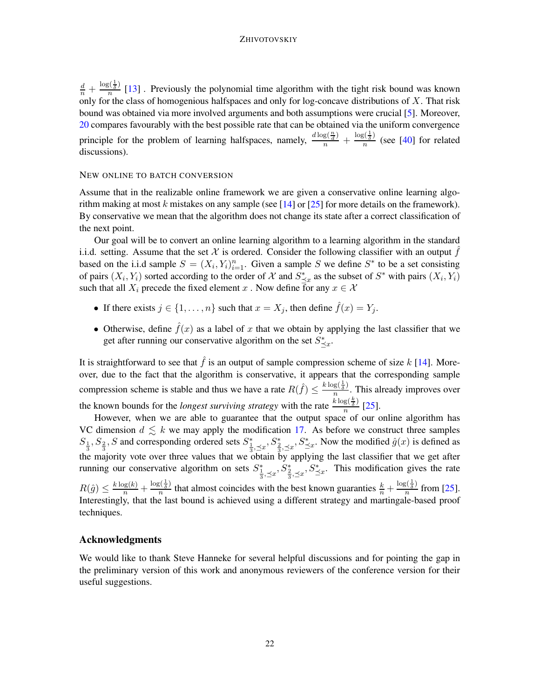$\frac{d}{n}+\frac{\log(\frac{1}{\delta})}{n}$  $\frac{n}{n}$  [\[13\]](#page-22-16). Previously the polynomial time algorithm with the tight risk bound was known only for the class of homogenious halfspaces and only for log-concave distributions of  $X$ . That risk bound was obtained via more involved arguments and both assumptions were crucial [\[5](#page-22-14)]. Moreover, [20](#page-20-0) compares favourably with the best possible rate that can be obtained via the uniform convergence principle for the problem of learning halfspaces, namely,  $\frac{d \log(\frac{n}{d})}{n} + \frac{\log(\frac{1}{\delta})}{n}$  $\frac{\partial \zeta_{\delta}}{\partial n}$  (see [\[40](#page-24-1)] for related discussions).

## NEW ONLINE TO BATCH CONVERSION

Assume that in the realizable online framework we are given a conservative online learning algorithm making at most k mistakes on any sample (see  $[14]$  $[14]$  or  $[25]$  for more details on the framework). By conservative we mean that the algorithm does not change its state after a correct classification of the next point.

Our goal will be to convert an online learning algorithm to a learning algorithm in the standard i.i.d. setting. Assume that the set X is ordered. Consider the following classifier with an output f based on the i.i.d sample  $S = (X_i, Y_i)_{i=1}^n$ . Given a sample S we define S<sup>\*</sup> to be a set consisting of pairs  $(X_i, Y_i)$  sorted according to the order of X and  $S^*_{\preceq x}$  as the subset of  $S^*$  with pairs  $(X_i, Y_i)$ such that all  $X_i$  precede the fixed element x. Now define for any  $x \in \mathcal{X}$ 

- If there exists  $j \in \{1, \ldots, n\}$  such that  $x = X_j$ , then define  $\hat{f}(x) = Y_j$ .
- Otherwise, define  $\hat{f}(x)$  as a label of x that we obtain by applying the last classifier that we get after running our conservative algorithm on the set  $S^*_{\leq x}$ .

It is straightforward to see that  $\hat{f}$  is an output of sample compression scheme of size k [\[14\]](#page-22-7). Moreover, due to the fact that the algorithm is conservative, it appears that the corresponding sample compression scheme is stable and thus we have a rate  $R(\hat{f}) \leq \frac{k \log(\frac{1}{\delta})}{n}$  $\frac{g(\overline{\delta})}{n}$ . This already improves over the known bounds for the *longest surviving strategy* with the rate  $\frac{k \log(\frac{k}{\delta})}{n}$  $rac{8(3)}{n}$  [\[25\]](#page-23-16).

However, when we are able to guarantee that the output space of our online algorithm has VC dimension  $d \leq k$  we may apply the modification [17.](#page-17-1) As before we construct three samples  $S_1^3, S_2^3, S$  and corresponding ordered sets  $S_3^*$   $\leq x$ ,  $S_3^*$   $\leq x$ . Now the modified  $\hat{g}(x)$  is defined as the majority vote over three values that we obtain by applying the last classifier that we get after running our conservative algorithm on sets  $S^*_{\frac{1}{3},\leq x}, S^*_{\leq x}, S^*_{\leq x}$ . This modification gives the rate  $R(\hat{g}) \leq \frac{k \log(k)}{n} + \frac{\log(\frac{1}{\delta})}{n}$  $\frac{s(\frac{1}{\delta})}{n}$  that almost coincides with the best known guaranties  $\frac{k}{n} + \frac{\log(\frac{1}{\delta})}{n}$  $\frac{5\sqrt{3}}{n}$  from [\[25\]](#page-23-16). Interestingly, that the last bound is achieved using a different strategy and martingale-based proof techniques.

## Acknowledgments

We would like to thank Steve Hanneke for several helpful discussions and for pointing the gap in the preliminary version of this work and anonymous reviewers of the conference version for their useful suggestions.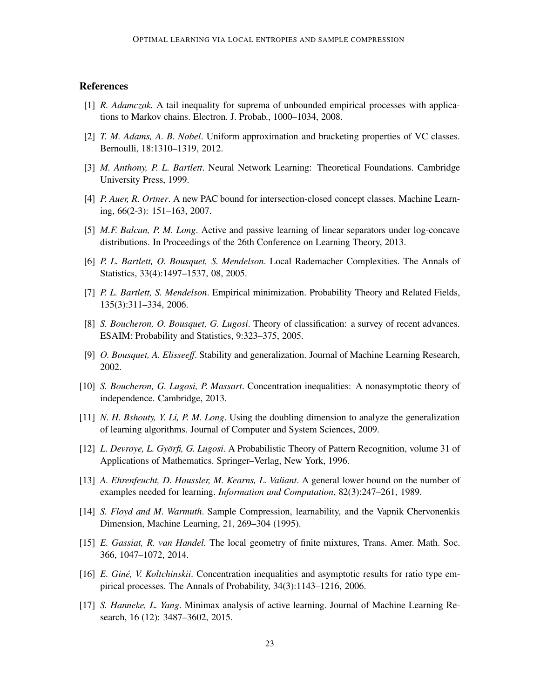## References

- <span id="page-22-13"></span>[1] *R. Adamczak.* A tail inequality for suprema of unbounded empirical processes with applications to Markov chains. Electron. J. Probab., 1000–1034, 2008.
- <span id="page-22-11"></span>[2] *T. M. Adams, A. B. Nobel*. Uniform approximation and bracketing properties of VC classes. Bernoulli, 18:1310–1319, 2012.
- <span id="page-22-0"></span>[3] *M. Anthony, P. L. Bartlett*. Neural Network Learning: Theoretical Foundations. Cambridge University Press, 1999.
- <span id="page-22-15"></span>[4] *P. Auer, R. Ortner*. A new PAC bound for intersection-closed concept classes. Machine Learning, 66(2-3): 151–163, 2007.
- <span id="page-22-14"></span>[5] *M.F. Balcan, P. M. Long*. Active and passive learning of linear separators under log-concave distributions. In Proceedings of the 26th Conference on Learning Theory, 2013.
- <span id="page-22-2"></span>[6] *P. L. Bartlett, O. Bousquet, S. Mendelson*. Local Rademacher Complexities. The Annals of Statistics, 33(4):1497–1537, 08, 2005.
- <span id="page-22-3"></span>[7] *P. L. Bartlett, S. Mendelson*. Empirical minimization. Probability Theory and Related Fields, 135(3):311–334, 2006.
- <span id="page-22-12"></span>[8] *S. Boucheron, O. Bousquet, G. Lugosi*. Theory of classification: a survey of recent advances. ESAIM: Probability and Statistics, 9:323–375, 2005.
- <span id="page-22-8"></span>[9] *O. Bousquet, A. Elisseeff*. Stability and generalization. Journal of Machine Learning Research, 2002.
- <span id="page-22-9"></span>[10] *S. Boucheron, G. Lugosi, P. Massart*. Concentration inequalities: A nonasymptotic theory of independence. Cambridge, 2013.
- <span id="page-22-6"></span>[11] *N. H. Bshouty, Y. Li, P. M. Long*. Using the doubling dimension to analyze the generalization of learning algorithms. Journal of Computer and System Sciences, 2009.
- <span id="page-22-1"></span>[12] *L. Devroye, L. Györfi, G. Lugosi.* A Probabilistic Theory of Pattern Recognition, volume 31 of Applications of Mathematics. Springer–Verlag, New York, 1996.
- <span id="page-22-16"></span>[13] *A. Ehrenfeucht, D. Haussler, M. Kearns, L. Valiant*. A general lower bound on the number of examples needed for learning. *Information and Computation*, 82(3):247–261, 1989.
- <span id="page-22-7"></span>[14] *S. Floyd and M. Warmuth*. Sample Compression, learnability, and the Vapnik Chervonenkis Dimension, Machine Learning, 21, 269–304 (1995).
- <span id="page-22-10"></span>[15] *E. Gassiat, R. van Handel.* The local geometry of finite mixtures, Trans. Amer. Math. Soc. 366, 1047–1072, 2014.
- <span id="page-22-4"></span>[16] *E. Gine, V. Koltchinskii ´* . Concentration inequalities and asymptotic results for ratio type empirical processes. The Annals of Probability, 34(3):1143–1216, 2006.
- <span id="page-22-5"></span>[17] *S. Hanneke, L. Yang*. Minimax analysis of active learning. Journal of Machine Learning Research, 16 (12): 3487–3602, 2015.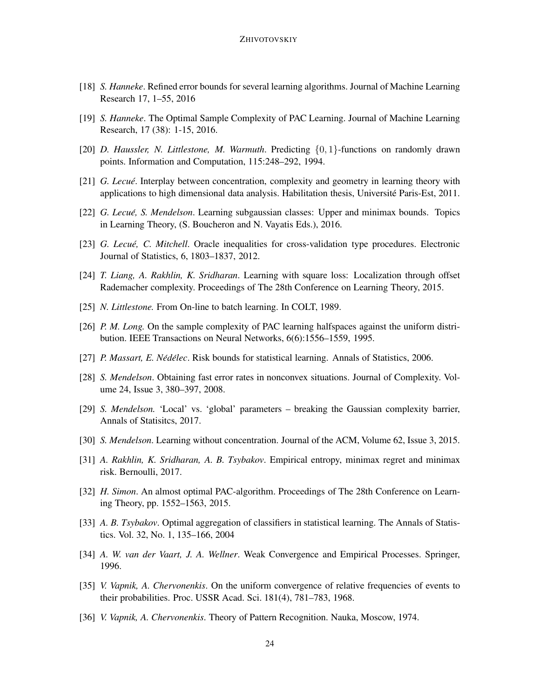- <span id="page-23-12"></span>[18] *S. Hanneke*. Refined error bounds for several learning algorithms. Journal of Machine Learning Research 17, 1–55, 2016
- <span id="page-23-13"></span>[19] *S. Hanneke*. The Optimal Sample Complexity of PAC Learning. Journal of Machine Learning Research, 17 (38): 1-15, 2016.
- <span id="page-23-14"></span>[20] *D. Haussler, N. Littlestone, M. Warmuth*. Predicting {0, 1}-functions on randomly drawn points. Information and Computation, 115:248–292, 1994.
- <span id="page-23-7"></span>[21] *G. Lecué*. Interplay between concentration, complexity and geometry in learning theory with applications to high dimensional data analysis. Habilitation thesis, Université Paris-Est, 2011.
- [22] *G. Lecué, S. Mendelson*. Learning subgaussian classes: Upper and minimax bounds. Topics in Learning Theory, (S. Boucheron and N. Vayatis Eds.), 2016.
- <span id="page-23-10"></span>[23] *G. Lecue, C. Mitchell ´* . Oracle inequalities for cross-validation type procedures. Electronic Journal of Statistics, 6, 1803–1837, 2012.
- <span id="page-23-5"></span>[24] *T. Liang, A. Rakhlin, K. Sridharan*. Learning with square loss: Localization through offset Rademacher complexity. Proceedings of The 28th Conference on Learning Theory, 2015.
- <span id="page-23-16"></span>[25] *N. Littlestone*. From On-line to batch learning. In COLT, 1989.
- <span id="page-23-11"></span>[26] *P. M. Long.* On the sample complexity of PAC learning halfspaces against the uniform distribution. IEEE Transactions on Neural Networks, 6(6):1556–1559, 1995.
- <span id="page-23-3"></span>[27] *P. Massart, E. Nédélec.* Risk bounds for statistical learning. Annals of Statistics, 2006.
- <span id="page-23-8"></span>[28] *S. Mendelson*. Obtaining fast error rates in nonconvex situations. Journal of Complexity. Volume 24, Issue 3, 380–397, 2008.
- <span id="page-23-6"></span>[29] *S. Mendelson.* 'Local' vs. 'global' parameters – breaking the Gaussian complexity barrier, Annals of Statisitcs, 2017.
- [30] *S. Mendelson*. Learning without concentration. Journal of the ACM, Volume 62, Issue 3, 2015.
- <span id="page-23-4"></span>[31] *A. Rakhlin, K. Sridharan, A. B. Tsybakov*. Empirical entropy, minimax regret and minimax risk. Bernoulli, 2017.
- <span id="page-23-15"></span>[32] *H. Simon*. An almost optimal PAC-algorithm. Proceedings of The 28th Conference on Learning Theory, pp. 1552–1563, 2015.
- <span id="page-23-2"></span>[33] *A. B. Tsybakov*. Optimal aggregation of classifiers in statistical learning. The Annals of Statistics. Vol. 32, No. 1, 135–166, 2004
- <span id="page-23-9"></span>[34] *A. W. van der Vaart, J. A. Wellner*. Weak Convergence and Empirical Processes. Springer, 1996.
- <span id="page-23-0"></span>[35] *V. Vapnik, A. Chervonenkis*. On the uniform convergence of relative frequencies of events to their probabilities. Proc. USSR Acad. Sci. 181(4), 781–783, 1968.
- <span id="page-23-1"></span>[36] *V. Vapnik, A. Chervonenkis*. Theory of Pattern Recognition. Nauka, Moscow, 1974.